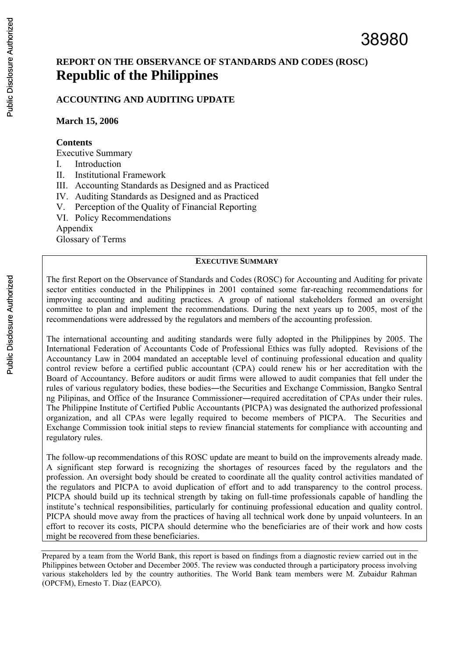# **REPORT ON THE OBSERVANCE OF STANDARDS AND CODES (ROSC) Republic of the Philippines**

### **ACCOUNTING AND AUDITING UPDATE**

**March 15, 2006** 

#### **Contents**

Executive Summary

- I. Introduction
- II. Institutional Framework
- III. Accounting Standards as Designed and as Practiced
- IV. Auditing Standards as Designed and as Practiced
- V. Perception of the Quality of Financial Reporting
- VI. Policy Recommendations

Appendix

Glossary of Terms

#### **EXECUTIVE SUMMARY**

The first Report on the Observance of Standards and Codes (ROSC) for Accounting and Auditing for private sector entities conducted in the Philippines in 2001 contained some far-reaching recommendations for improving accounting and auditing practices. A group of national stakeholders formed an oversight committee to plan and implement the recommendations. During the next years up to 2005, most of the recommendations were addressed by the regulators and members of the accounting profession.

The international accounting and auditing standards were fully adopted in the Philippines by 2005. The International Federation of Accountants Code of Professional Ethics was fully adopted. Revisions of the Accountancy Law in 2004 mandated an acceptable level of continuing professional education and quality control review before a certified public accountant (CPA) could renew his or her accreditation with the Board of Accountancy. Before auditors or audit firms were allowed to audit companies that fell under the rules of various regulatory bodies, these bodies―the Securities and Exchange Commission, Bangko Sentral ng Pilipinas, and Office of the Insurance Commissioner―required accreditation of CPAs under their rules. The Philippine Institute of Certified Public Accountants (PICPA) was designated the authorized professional organization, and all CPAs were legally required to become members of PICPA. The Securities and Exchange Commission took initial steps to review financial statements for compliance with accounting and regulatory rules.

The follow-up recommendations of this ROSC update are meant to build on the improvements already made. A significant step forward is recognizing the shortages of resources faced by the regulators and the profession. An oversight body should be created to coordinate all the quality control activities mandated of the regulators and PICPA to avoid duplication of effort and to add transparency to the control process. PICPA should build up its technical strength by taking on full-time professionals capable of handling the institute's technical responsibilities, particularly for continuing professional education and quality control. PICPA should move away from the practices of having all technical work done by unpaid volunteers. In an effort to recover its costs, PICPA should determine who the beneficiaries are of their work and how costs might be recovered from these beneficiaries.

Prepared by a team from the World Bank, this report is based on findings from a diagnostic review carried out in the Philippines between October and December 2005. The review was conducted through a participatory process involving various stakeholders led by the country authorities. The World Bank team members were M. Zubaidur Rahman (OPCFM), Ernesto T. Diaz (EAPCO).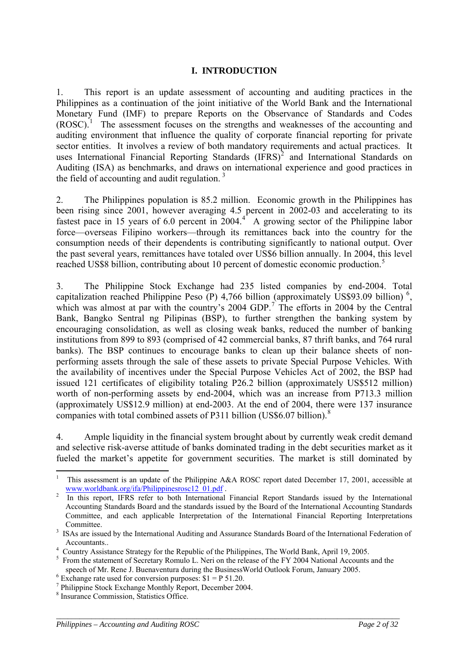#### **I. INTRODUCTION**

1. This report is an update assessment of accounting and auditing practices in the Philippines as a continuation of the joint initiative of the World Bank and the International Monetary Fund (IMF) to prepare Reports on the Observance of Standards and Codes (ROSC).<sup>[1](#page-1-0)</sup> The assessment focuses on the strengths and weaknesses of the accounting and auditing environment that influence the quality of corporate financial reporting for private sector entities. It involves a review of both mandatory requirements and actual practices. It uses International Financial Reporting Standards  $(IFRS)^2$  $(IFRS)^2$  and International Standards on Auditing (ISA) as benchmarks, and draws on international experience and good practices in the field of accounting and audit regulation.  $3$ 

2. The Philippines population is 85.2 million. Economic growth in the Philippines has been rising since 2001, however averaging 4.5 percent in 2002-03 and accelerating to its fastest pace in 15 years of 6.0 percent in  $2004.<sup>4</sup>$  $2004.<sup>4</sup>$  $2004.<sup>4</sup>$  A growing sector of the Philippine labor force—overseas Filipino workers—through its remittances back into the country for the consumption needs of their dependents is contributing significantly to national output. Over the past several years, remittances have totaled over US\$6 billion annually. In 2004, this level reached US\$8 billion, contributing about 10 percent of domestic economic production.<sup>[5](#page-1-4)</sup>

3. The Philippine Stock Exchange had 235 listed companies by end-2004. Total capitalization reached Philippine Peso (P) 4,7[6](#page-1-5)6 billion (approximately US\$93.09 billion)<sup>6</sup>, which was almost at par with the country's  $2004$  GDP.<sup>[7](#page-1-6)</sup> The efforts in 2004 by the Central Bank, Bangko Sentral ng Pilipinas (BSP), to further strengthen the banking system by encouraging consolidation, as well as closing weak banks, reduced the number of banking institutions from 899 to 893 (comprised of 42 commercial banks, 87 thrift banks, and 764 rural banks). The BSP continues to encourage banks to clean up their balance sheets of nonperforming assets through the sale of these assets to private Special Purpose Vehicles. With the availability of incentives under the Special Purpose Vehicles Act of 2002, the BSP had issued 121 certificates of eligibility totaling P26.2 billion (approximately US\$512 million) worth of non-performing assets by end-2004, which was an increase from P713.3 million (approximately US\$12.9 million) at end-2003. At the end of 2004, there were 137 insurance companies with total combined assets of P311 billion (US\$6.07 billion).<sup>[8](#page-1-7)</sup>

4. Ample liquidity in the financial system brought about by currently weak credit demand and selective risk-averse attitude of banks dominated trading in the debt securities market as it fueled the market's appetite for government securities. The market is still dominated by

<span id="page-1-0"></span><sup>1</sup> 1 This assessment is an update of the Philippine A&A ROSC report dated December 17, 2001, accessible at [www.worldbank.org/ifa/Philippinesrosc12\\_01.pdf](http://www.worldbank.org/ifa/Philippinesrosc12_01.pdf) .

<span id="page-1-1"></span>In this report, IFRS refer to both International Financial Report Standards issued by the International Accounting Standards Board and the standards issued by the Board of the International Accounting Standards Committee, and each applicable Interpretation of the International Financial Reporting Interpretations Committee.

<span id="page-1-2"></span><sup>&</sup>lt;sup>3</sup> ISAs are issued by the International Auditing and Assurance Standards Board of the International Federation of

<span id="page-1-3"></span>Accountants.. <br><sup>4</sup> Country Assistance Strategy for the Republic of the Philippines, The World Bank, April 19, 2005.

<span id="page-1-4"></span><sup>&</sup>lt;sup>5</sup> From the statement of Secretary Romulo L. Neri on the release of the FY 2004 National Accounts and the speech of Mr. Rene J. Buenaventura during the BusinessWorld Outlook Forum, January 2005.

<span id="page-1-5"></span> $6$  Exchange rate used for conversion purposes:  $$1 = P 51.20$ .

<span id="page-1-6"></span><sup>&</sup>lt;sup>7</sup> Philippine Stock Exchange Monthly Report, December 2004.

<span id="page-1-7"></span><sup>&</sup>lt;sup>8</sup> Insurance Commission, Statistics Office.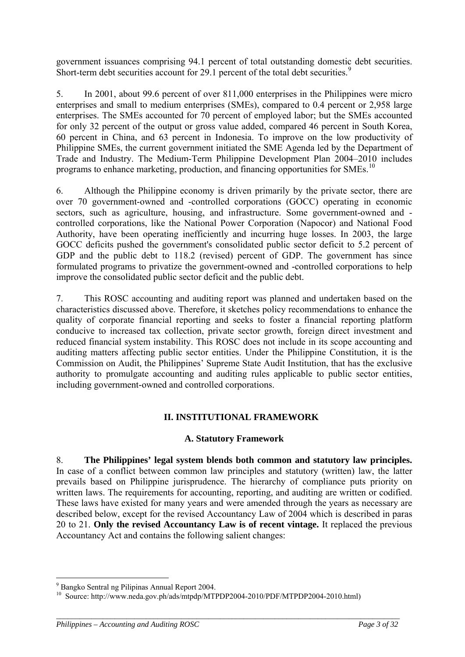government issuances comprising 94.1 percent of total outstanding domestic debt securities. Short-term debt securities account for 2[9](#page-2-0).1 percent of the total debt securities.<sup>9</sup>

5. In 2001, about 99.6 percent of over 811,000 enterprises in the Philippines were micro enterprises and small to medium enterprises (SMEs), compared to 0.4 percent or 2,958 large enterprises. The SMEs accounted for 70 percent of employed labor; but the SMEs accounted for only 32 percent of the output or gross value added, compared 46 percent in South Korea, 60 percent in China, and 63 percent in Indonesia. To improve on the low productivity of Philippine SMEs, the current government initiated the SME Agenda led by the Department of Trade and Industry. The Medium-Term Philippine Development Plan 2004–2010 includes programs to enhance marketing, production, and financing opportunities for SMEs.[10](#page-2-1)

6. Although the Philippine economy is driven primarily by the private sector, there are over 70 government-owned and -controlled corporations (GOCC) operating in economic sectors, such as agriculture, housing, and infrastructure. Some government-owned and controlled corporations, like the National Power Corporation (Napocor) and National Food Authority, have been operating inefficiently and incurring huge losses. In 2003, the large GOCC deficits pushed the government's consolidated public sector deficit to 5.2 percent of GDP and the public debt to 118.2 (revised) percent of GDP. The government has since formulated programs to privatize the government-owned and -controlled corporations to help improve the consolidated public sector deficit and the public debt.

7. This ROSC accounting and auditing report was planned and undertaken based on the characteristics discussed above. Therefore, it sketches policy recommendations to enhance the quality of corporate financial reporting and seeks to foster a financial reporting platform conducive to increased tax collection, private sector growth, foreign direct investment and reduced financial system instability. This ROSC does not include in its scope accounting and auditing matters affecting public sector entities. Under the Philippine Constitution, it is the Commission on Audit, the Philippines' Supreme State Audit Institution, that has the exclusive authority to promulgate accounting and auditing rules applicable to public sector entities, including government-owned and controlled corporations.

## **II. INSTITUTIONAL FRAMEWORK**

### **A. Statutory Framework**

8. **The Philippines' legal system blends both common and statutory law principles.** In case of a conflict between common law principles and statutory (written) law, the latter prevails based on Philippine jurisprudence. The hierarchy of compliance puts priority on written laws. The requirements for accounting, reporting, and auditing are written or codified. These laws have existed for many years and were amended through the years as necessary are described below, except for the revised Accountancy Law of 2004 which is described in paras 20 to 21. **Only the revised Accountancy Law is of recent vintage.** It replaced the previous Accountancy Act and contains the following salient changes:

<u>.</u>

<sup>9</sup> Bangko Sentral ng Pilipinas Annual Report 2004.

<span id="page-2-1"></span><span id="page-2-0"></span><sup>&</sup>lt;sup>10</sup> Source: http://www.neda.gov.ph/ads/mtpdp/MTPDP2004-2010/PDF/MTPDP2004-2010.html)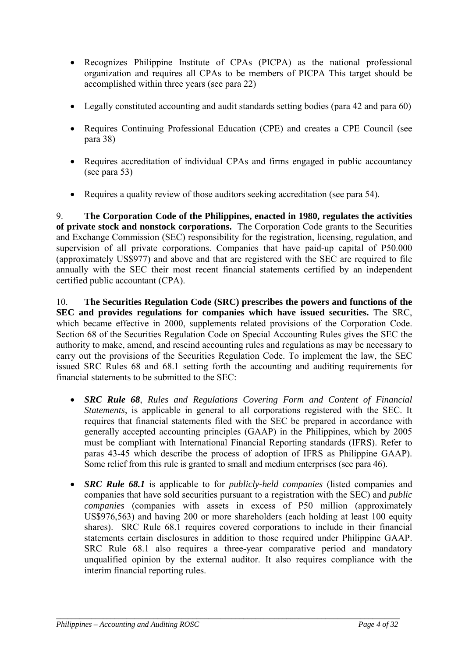- Recognizes Philippine Institute of CPAs (PICPA) as the national professional organization and requires all CPAs to be members of PICPA This target should be accomplished within three years (see para 22)
- Legally constituted accounting and audit standards setting bodies (para 42 and para 60)
- Requires Continuing Professional Education (CPE) and creates a CPE Council (see para 38)
- Requires accreditation of individual CPAs and firms engaged in public accountancy (see para 53)
- Requires a quality review of those auditors seeking accreditation (see para 54).

9. **The Corporation Code of the Philippines, enacted in 1980, regulates the activities of private stock and nonstock corporations.** The Corporation Code grants to the Securities and Exchange Commission (SEC) responsibility for the registration, licensing, regulation, and supervision of all private corporations. Companies that have paid-up capital of P50.000 (approximately US\$977) and above and that are registered with the SEC are required to file annually with the SEC their most recent financial statements certified by an independent certified public accountant (CPA).

10. **The Securities Regulation Code (SRC) prescribes the powers and functions of the SEC and provides regulations for companies which have issued securities.** The SRC, which became effective in 2000, supplements related provisions of the Corporation Code. Section 68 of the Securities Regulation Code on Special Accounting Rules gives the SEC the authority to make, amend, and rescind accounting rules and regulations as may be necessary to carry out the provisions of the Securities Regulation Code. To implement the law, the SEC issued SRC Rules 68 and 68.1 setting forth the accounting and auditing requirements for financial statements to be submitted to the SEC:

- *SRC Rule 68*, *Rules and Regulations Covering Form and Content of Financial Statements*, is applicable in general to all corporations registered with the SEC. It requires that financial statements filed with the SEC be prepared in accordance with generally accepted accounting principles (GAAP) in the Philippines, which by 2005 must be compliant with International Financial Reporting standards (IFRS). Refer to paras 43-45 which describe the process of adoption of IFRS as Philippine GAAP). Some relief from this rule is granted to small and medium enterprises (see para [46\)](#page-13-0).
- *SRC Rule 68.1* is applicable to for *publicly-held companies* (listed companies and companies that have sold securities pursuant to a registration with the SEC) and *public companies* (companies with assets in excess of P50 million (approximately US\$976,563) and having 200 or more shareholders (each holding at least 100 equity shares). SRC Rule 68.1 requires covered corporations to include in their financial statements certain disclosures in addition to those required under Philippine GAAP. SRC Rule 68.1 also requires a three-year comparative period and mandatory unqualified opinion by the external auditor. It also requires compliance with the interim financial reporting rules.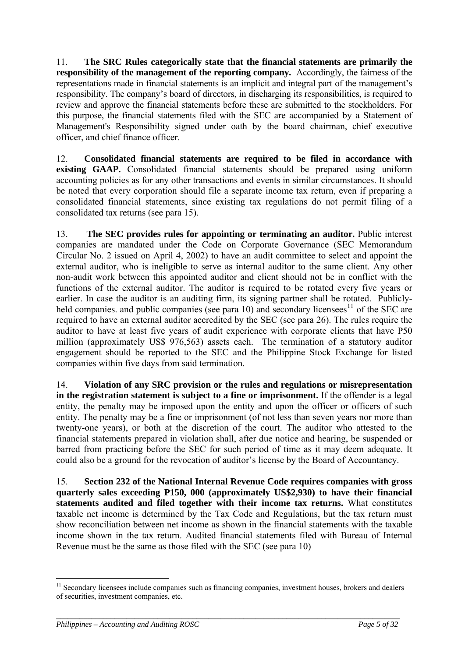11. **The SRC Rules categorically state that the financial statements are primarily the responsibility of the management of the reporting company.** Accordingly, the fairness of the representations made in financial statements is an implicit and integral part of the management's responsibility. The company's board of directors, in discharging its responsibilities, is required to review and approve the financial statements before these are submitted to the stockholders. For this purpose, the financial statements filed with the SEC are accompanied by a Statement of Management's Responsibility signed under oath by the board chairman, chief executive officer, and chief finance officer.

12. **Consolidated financial statements are required to be filed in accordance with existing GAAP.** Consolidated financial statements should be prepared using uniform accounting policies as for any other transactions and events in similar circumstances. It should be noted that every corporation should file a separate income tax return, even if preparing a consolidated financial statements, since existing tax regulations do not permit filing of a consolidated tax returns (see para 15).

13. **The SEC provides rules for appointing or terminating an auditor.** Public interest companies are mandated under the Code on Corporate Governance (SEC Memorandum Circular No. 2 issued on April 4, 2002) to have an audit committee to select and appoint the external auditor, who is ineligible to serve as internal auditor to the same client. Any other non-audit work between this appointed auditor and client should not be in conflict with the functions of the external auditor. The auditor is required to be rotated every five years or earlier. In case the auditor is an auditing firm, its signing partner shall be rotated. Publicly-held companies, and public companies (see para 10) and secondary licensees<sup>[11](#page-4-0)</sup> of the SEC are required to have an external auditor accredited by the SEC (see para 26). The rules require the auditor to have at least five years of audit experience with corporate clients that have P50 million (approximately US\$ 976,563) assets each. The termination of a statutory auditor engagement should be reported to the SEC and the Philippine Stock Exchange for listed companies within five days from said termination.

14. **Violation of any SRC provision or the rules and regulations or misrepresentation in the registration statement is subject to a fine or imprisonment.** If the offender is a legal entity, the penalty may be imposed upon the entity and upon the officer or officers of such entity. The penalty may be a fine or imprisonment (of not less than seven years nor more than twenty-one years), or both at the discretion of the court. The auditor who attested to the financial statements prepared in violation shall, after due notice and hearing, be suspended or barred from practicing before the SEC for such period of time as it may deem adequate. It could also be a ground for the revocation of auditor's license by the Board of Accountancy.

15. **Section 232 of the National Internal Revenue Code requires companies with gross quarterly sales exceeding P150, 000 (approximately US\$2,930) to have their financial statements audited and filed together with their income tax returns.** What constitutes taxable net income is determined by the Tax Code and Regulations, but the tax return must show reconciliation between net income as shown in the financial statements with the taxable income shown in the tax return. Audited financial statements filed with Bureau of Internal Revenue must be the same as those filed with the SEC (see para 10)

*\_\_\_\_\_\_\_\_\_\_\_\_\_\_\_\_\_\_\_\_\_\_\_\_\_\_\_\_\_\_\_\_\_\_\_\_\_\_\_\_\_\_\_\_\_\_\_\_\_\_\_\_\_\_\_\_\_\_\_\_\_\_\_\_\_\_\_\_\_\_\_\_\_\_\_\_\_\_\_\_\_\_\_\_\_\_\_\_* 

1

<span id="page-4-0"></span><sup>&</sup>lt;sup>11</sup> Secondary licensees include companies such as financing companies, investment houses, brokers and dealers of securities, investment companies, etc.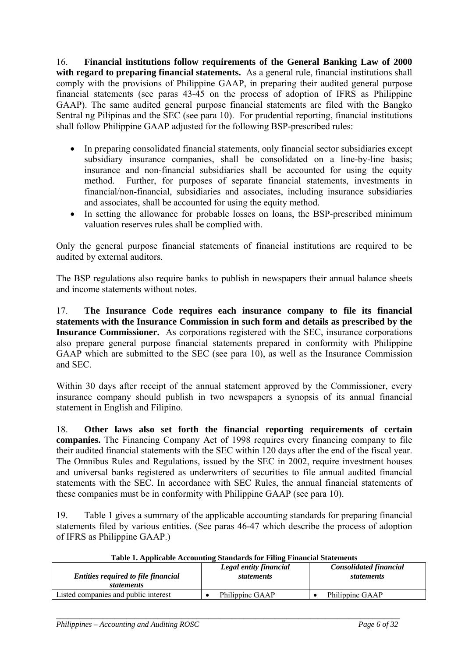16. **Financial institutions follow requirements of the General Banking Law of 2000**  with regard to preparing financial statements. As a general rule, financial institutions shall comply with the provisions of Philippine GAAP, in preparing their audited general purpose financial statements (see paras 43-45 on the process of adoption of IFRS as Philippine GAAP). The same audited general purpose financial statements are filed with the Bangko Sentral ng Pilipinas and the SEC (see para 10). For prudential reporting, financial institutions shall follow Philippine GAAP adjusted for the following BSP-prescribed rules:

- In preparing consolidated financial statements, only financial sector subsidiaries except subsidiary insurance companies, shall be consolidated on a line-by-line basis; insurance and non-financial subsidiaries shall be accounted for using the equity method. Further, for purposes of separate financial statements, investments in financial/non-financial, subsidiaries and associates, including insurance subsidiaries and associates, shall be accounted for using the equity method.
- In setting the allowance for probable losses on loans, the BSP-prescribed minimum valuation reserves rules shall be complied with.

Only the general purpose financial statements of financial institutions are required to be audited by external auditors.

The BSP regulations also require banks to publish in newspapers their annual balance sheets and income statements without notes.

17. **The Insurance Code requires each insurance company to file its financial statements with the Insurance Commission in such form and details as prescribed by the Insurance Commissioner.** As corporations registered with the SEC, insurance corporations also prepare general purpose financial statements prepared in conformity with Philippine GAAP which are submitted to the SEC (see para 10), as well as the Insurance Commission and SEC.

Within 30 days after receipt of the annual statement approved by the Commissioner, every insurance company should publish in two newspapers a synopsis of its annual financial statement in English and Filipino.

18. **Other laws also set forth the financial reporting requirements of certain companies.** The Financing Company Act of 1998 requires every financing company to file their audited financial statements with the SEC within 120 days after the end of the fiscal year. The Omnibus Rules and Regulations, issued by the SEC in 2002, require investment houses and universal banks registered as underwriters of securities to file annual audited financial statements with the SEC. In accordance with SEC Rules, the annual financial statements of these companies must be in conformity with Philippine GAAP (see para 10).

19. Table 1 gives a summary of the applicable accounting standards for preparing financial statements filed by various entities. (See paras 46-47 which describe the process of adoption of IFRS as Philippine GAAP.)

| <b>Entities required to file financial</b> | Legal entity financial | <b>Consolidated financial</b> |
|--------------------------------------------|------------------------|-------------------------------|
| <i>statements</i>                          | <i>statements</i>      | <i>statements</i>             |
| Listed companies and public interest       | Philippine GAAP        | Philippine GAAP               |

*\_\_\_\_\_\_\_\_\_\_\_\_\_\_\_\_\_\_\_\_\_\_\_\_\_\_\_\_\_\_\_\_\_\_\_\_\_\_\_\_\_\_\_\_\_\_\_\_\_\_\_\_\_\_\_\_\_\_\_\_\_\_\_\_\_\_\_\_\_\_\_\_\_\_\_\_\_\_\_\_\_\_\_\_\_\_\_\_* 

#### **Table 1. Applicable Accounting Standards for Filing Financial Statements**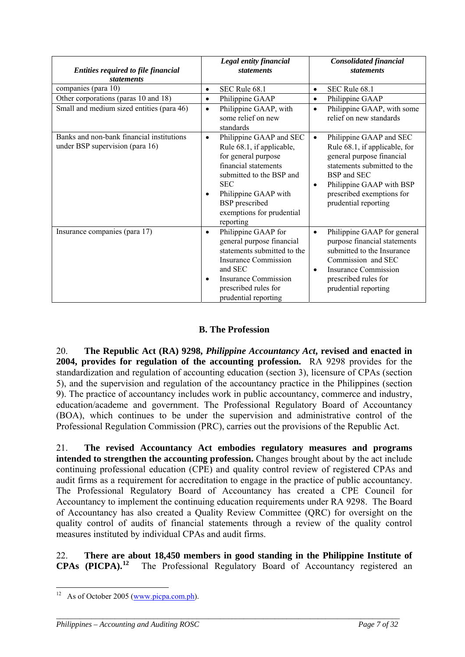| <b>Entities required to file financial</b>                                   | Legal entity financial<br><i>statements</i>                                                                                                                                                                                                           | <b>Consolidated financial</b><br><i>statements</i>                                                                                                                                                                                             |
|------------------------------------------------------------------------------|-------------------------------------------------------------------------------------------------------------------------------------------------------------------------------------------------------------------------------------------------------|------------------------------------------------------------------------------------------------------------------------------------------------------------------------------------------------------------------------------------------------|
| <i>statements</i>                                                            |                                                                                                                                                                                                                                                       |                                                                                                                                                                                                                                                |
| companies (para 10)                                                          | SEC Rule 68.1<br>$\bullet$                                                                                                                                                                                                                            | SEC Rule 68.1<br>$\bullet$                                                                                                                                                                                                                     |
| Other corporations (paras 10 and 18)                                         | Philippine GAAP<br>$\bullet$                                                                                                                                                                                                                          | Philippine GAAP<br>$\bullet$                                                                                                                                                                                                                   |
| Small and medium sized entities (para 46)                                    | Philippine GAAP, with<br>$\bullet$<br>some relief on new<br>standards                                                                                                                                                                                 | Philippine GAAP, with some<br>$\bullet$<br>relief on new standards                                                                                                                                                                             |
| Banks and non-bank financial institutions<br>under BSP supervision (para 16) | Philippine GAAP and SEC<br>$\bullet$<br>Rule 68.1, if applicable,<br>for general purpose<br>financial statements<br>submitted to the BSP and<br><b>SEC</b><br>Philippine GAAP with<br><b>BSP</b> prescribed<br>exemptions for prudential<br>reporting | Philippine GAAP and SEC<br>$\bullet$<br>Rule 68.1, if applicable, for<br>general purpose financial<br>statements submitted to the<br>BSP and SEC<br>Philippine GAAP with BSP<br>$\bullet$<br>prescribed exemptions for<br>prudential reporting |
| Insurance companies (para 17)                                                | Philippine GAAP for<br>$\bullet$<br>general purpose financial<br>statements submitted to the<br><b>Insurance Commission</b><br>and SEC<br><b>Insurance Commission</b><br>٠<br>prescribed rules for<br>prudential reporting                            | Philippine GAAP for general<br>$\bullet$<br>purpose financial statements<br>submitted to the Insurance<br>Commission and SEC<br>Insurance Commission<br>$\bullet$<br>prescribed rules for<br>prudential reporting                              |

## **B. The Profession**

20. **The Republic Act (RA) 9298,** *Philippine Accountancy Act***, revised and enacted in 2004, provides for regulation of the accounting profession.** RA 9298 provides for the standardization and regulation of accounting education (section 3), licensure of CPAs (section 5), and the supervision and regulation of the accountancy practice in the Philippines (section 9). The practice of accountancy includes work in public accountancy, commerce and industry, education/academe and government. The Professional Regulatory Board of Accountancy (BOA), which continues to be under the supervision and administrative control of the Professional Regulation Commission (PRC), carries out the provisions of the Republic Act.

21. **The revised Accountancy Act embodies regulatory measures and programs intended to strengthen the accounting profession.** Changes brought about by the act include continuing professional education (CPE) and quality control review of registered CPAs and audit firms as a requirement for accreditation to engage in the practice of public accountancy. The Professional Regulatory Board of Accountancy has created a CPE Council for Accountancy to implement the continuing education requirements under RA 9298. The Board of Accountancy has also created a Quality Review Committee (QRC) for oversight on the quality control of audits of financial statements through a review of the quality control measures instituted by individual CPAs and audit firms.

22. **There are about 18,450 members in good standing in the Philippine Institute of CPAs (PICPA).<sup>[12](#page-6-0)</sup>** The Professional Regulatory Board of Accountancy registered an

*\_\_\_\_\_\_\_\_\_\_\_\_\_\_\_\_\_\_\_\_\_\_\_\_\_\_\_\_\_\_\_\_\_\_\_\_\_\_\_\_\_\_\_\_\_\_\_\_\_\_\_\_\_\_\_\_\_\_\_\_\_\_\_\_\_\_\_\_\_\_\_\_\_\_\_\_\_\_\_\_\_\_\_\_\_\_\_\_* 

<u>.</u>

<span id="page-6-0"></span><sup>&</sup>lt;sup>12</sup> As of October 2005 ( $\frac{www.picpa.com.php}{www.picpa.com.php}$ ).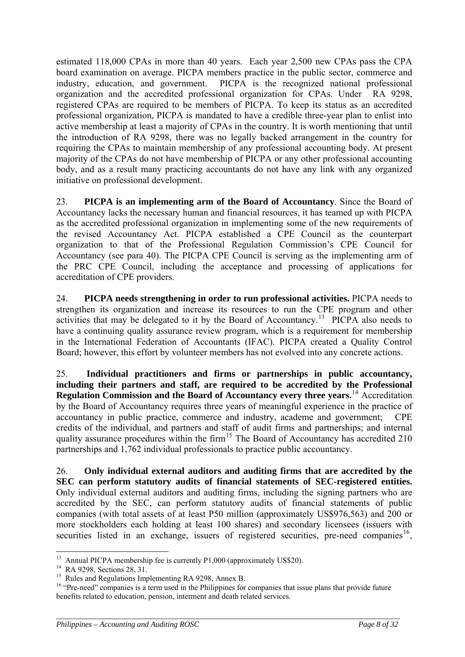estimated 118,000 CPAs in more than 40 years. Each year 2,500 new CPAs pass the CPA board examination on average. PICPA members practice in the public sector, commerce and industry, education, and government. PICPA is the recognized national professional organization and the accredited professional organization for CPAs. Under RA 9298, registered CPAs are required to be members of PICPA. To keep its status as an accredited professional organization, PICPA is mandated to have a credible three-year plan to enlist into active membership at least a majority of CPAs in the country. It is worth mentioning that until the introduction of RA 9298, there was no legally backed arrangement in the country for requiring the CPAs to maintain membership of any professional accounting body. At present majority of the CPAs do not have membership of PICPA or any other professional accounting body, and as a result many practicing accountants do not have any link with any organized initiative on professional development.

23. **PICPA is an implementing arm of the Board of Accountancy**. Since the Board of Accountancy lacks the necessary human and financial resources, it has teamed up with PICPA as the accredited professional organization in implementing some of the new requirements of the revised Accountancy Act. PICPA established a CPE Council as the counterpart organization to that of the Professional Regulation Commission's CPE Council for Accountancy (see para 40). The PICPA CPE Council is serving as the implementing arm of the PRC CPE Council, including the acceptance and processing of applications for accreditation of CPE providers.

24. **PICPA needs strengthening in order to run professional activities.** PICPA needs to strengthen its organization and increase its resources to run the CPE program and other activities that may be delegated to it by the Board of Accountancy.<sup>[13](#page-7-0)</sup> PICPA also needs to have a continuing quality assurance review program, which is a requirement for membership in the International Federation of Accountants (IFAC). PICPA created a Quality Control Board; however, this effort by volunteer members has not evolved into any concrete actions.

25. **Individual practitioners and firms or partnerships in public accountancy, including their partners and staff, are required to be accredited by the Professional Regulation Commission and the Board of Accountancy every three years.**[14](#page-7-1) Accreditation by the Board of Accountancy requires three years of meaningful experience in the practice of accountancy in public practice, commerce and industry, academe and government; CPE credits of the individual, and partners and staff of audit firms and partnerships; and internal quality assurance procedures within the firm<sup>[15](#page-7-2)</sup> The Board of Accountancy has accredited 210 partnerships and 1,762 individual professionals to practice public accountancy.

26. **Only individual external auditors and auditing firms that are accredited by the SEC can perform statutory audits of financial statements of SEC-registered entities.**  Only individual external auditors and auditing firms, including the signing partners who are accredited by the SEC, can perform statutory audits of financial statements of public companies (with total assets of at least P50 million (approximately US\$976,563) and 200 or more stockholders each holding at least 100 shares) and secondary licensees (issuers with securities listed in an exchange, issuers of registered securities, pre-need companies<sup>16</sup>,

1

<sup>&</sup>lt;sup>13</sup> Annual PICPA membership fee is currently P1,000 (approximately US\$20).<br><sup>14</sup> RA 9298, Sections 28, 31.

<span id="page-7-1"></span><span id="page-7-0"></span><sup>&</sup>lt;sup>14</sup> RA 9298, Sections 28, 31.<br><sup>15</sup> Rules and Regulations Implementing RA 9298, Annex B.

<span id="page-7-3"></span><span id="page-7-2"></span><sup>&</sup>lt;sup>16</sup> "Pre-need" companies is a term used in the Philippines for companies that issue plans that provide future benefits related to education, pension, interment and death related services.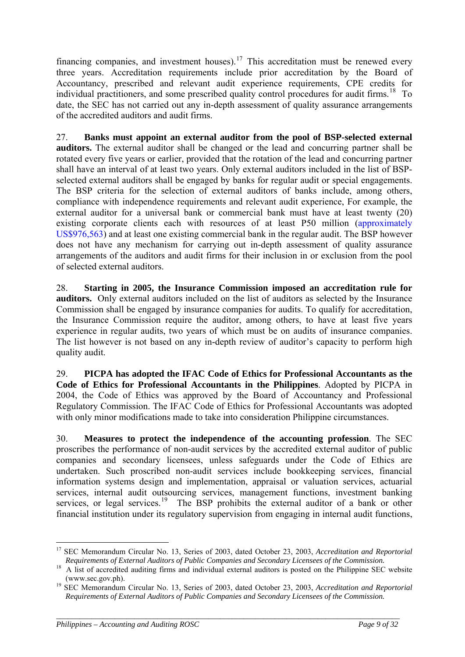financing companies, and investment houses).<sup>[17](#page-8-0)</sup> This accreditation must be renewed every three years. Accreditation requirements include prior accreditation by the Board of Accountancy, prescribed and relevant audit experience requirements, CPE credits for individual practitioners, and some prescribed quality control procedures for audit firms.<sup>[18](#page-8-1)</sup> To date, the SEC has not carried out any in-depth assessment of quality assurance arrangements of the accredited auditors and audit firms.

27. **Banks must appoint an external auditor from the pool of BSP-selected external auditors.** The external auditor shall be changed or the lead and concurring partner shall be rotated every five years or earlier, provided that the rotation of the lead and concurring partner shall have an interval of at least two years. Only external auditors included in the list of BSPselected external auditors shall be engaged by banks for regular audit or special engagements. The BSP criteria for the selection of external auditors of banks include, among others, compliance with independence requirements and relevant audit experience, For example, the external auditor for a universal bank or commercial bank must have at least twenty (20) existing corporate clients each with resources of at least P50 million (approximately US\$976,563) and at least one existing commercial bank in the regular audit. The BSP however does not have any mechanism for carrying out in-depth assessment of quality assurance arrangements of the auditors and audit firms for their inclusion in or exclusion from the pool of selected external auditors.

28. **Starting in 2005, the Insurance Commission imposed an accreditation rule for auditors.** Only external auditors included on the list of auditors as selected by the Insurance Commission shall be engaged by insurance companies for audits. To qualify for accreditation, the Insurance Commission require the auditor, among others, to have at least five years experience in regular audits, two years of which must be on audits of insurance companies. The list however is not based on any in-depth review of auditor's capacity to perform high quality audit.

29. **PICPA has adopted the IFAC Code of Ethics for Professional Accountants as the Code of Ethics for Professional Accountants in the Philippines**. Adopted by PICPA in 2004, the Code of Ethics was approved by the Board of Accountancy and Professional Regulatory Commission. The IFAC Code of Ethics for Professional Accountants was adopted with only minor modifications made to take into consideration Philippine circumstances.

30. **Measures to protect the independence of the accounting profession**. The SEC proscribes the performance of non-audit services by the accredited external auditor of public companies and secondary licensees, unless safeguards under the Code of Ethics are undertaken. Such proscribed non-audit services include bookkeeping services, financial information systems design and implementation, appraisal or valuation services, actuarial services, internal audit outsourcing services, management functions, investment banking services, or legal services.<sup>[19](#page-8-2)</sup> The BSP prohibits the external auditor of a bank or other financial institution under its regulatory supervision from engaging in internal audit functions,

<sup>1</sup> 17 SEC Memorandum Circular No. 13, Series of 2003, dated October 23, 2003, *Accreditation and Reportorial* 

<span id="page-8-1"></span><span id="page-8-0"></span>*Requirements of External Auditors of Public Companies and Secondary Licensees of the Commission.*<br>A list of accredited auditing firms and individual external auditors is posted on the Philippine SEC website

<span id="page-8-2"></span>[<sup>\(</sup>www.sec.gov.ph](http://www.sec.gov.ph/)). 19 SEC Memorandum Circular No. 13, Series of 2003, dated October 23, 2003, *Accreditation and Reportorial Requirements of External Auditors of Public Companies and Secondary Licensees of the Commission.*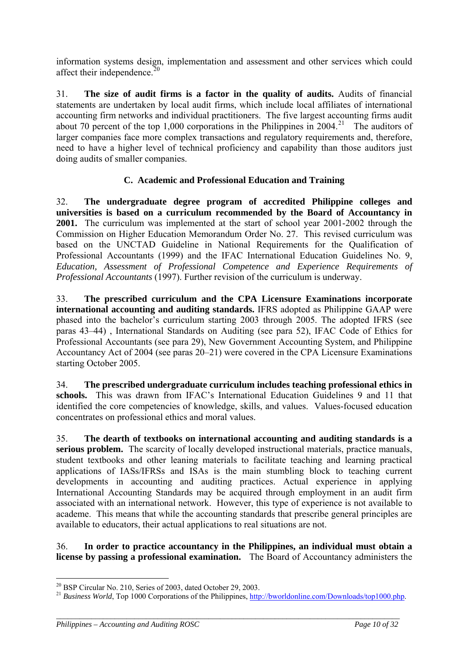information systems design, implementation and assessment and other services which could affect their independence. $20$ 

31. **The size of audit firms is a factor in the quality of audits.** Audits of financial statements are undertaken by local audit firms, which include local affiliates of international accounting firm networks and individual practitioners. The five largest accounting firms audit about 70 percent of the top 1,000 corporations in the Philippines in  $2004<sup>21</sup>$  $2004<sup>21</sup>$  $2004<sup>21</sup>$ . The auditors of larger companies face more complex transactions and regulatory requirements and, therefore, need to have a higher level of technical proficiency and capability than those auditors just doing audits of smaller companies.

## **C. Academic and Professional Education and Training**

32. **The undergraduate degree program of accredited Philippine colleges and universities is based on a curriculum recommended by the Board of Accountancy in 2001.** The curriculum was implemented at the start of school year 2001-2002 through the Commission on Higher Education Memorandum Order No. 27. This revised curriculum was based on the UNCTAD Guideline in National Requirements for the Qualification of Professional Accountants (1999) and the IFAC International Education Guidelines No. 9, *Education, Assessment of Professional Competence and Experience Requirements of Professional Accountants* (1997). Further revision of the curriculum is underway.

33. **The prescribed curriculum and the CPA Licensure Examinations incorporate international accounting and auditing standards.** IFRS adopted as Philippine GAAP were phased into the bachelor's curriculum starting 2003 through 2005. The adopted IFRS (see paras 43–44) , International Standards on Auditing (see para 52), IFAC Code of Ethics for Professional Accountants (see para 29), New Government Accounting System, and Philippine Accountancy Act of 2004 (see paras 20–21) were covered in the CPA Licensure Examinations starting October 2005.

34. **The prescribed undergraduate curriculum includes teaching professional ethics in schools.** This was drawn from IFAC's International Education Guidelines 9 and 11 that identified the core competencies of knowledge, skills, and values. Values-focused education concentrates on professional ethics and moral values.

35. **The dearth of textbooks on international accounting and auditing standards is a serious problem.** The scarcity of locally developed instructional materials, practice manuals, student textbooks and other leaning materials to facilitate teaching and learning practical applications of IASs/IFRSs and ISAs is the main stumbling block to teaching current developments in accounting and auditing practices. Actual experience in applying International Accounting Standards may be acquired through employment in an audit firm associated with an international network. However, this type of experience is not available to academe. This means that while the accounting standards that prescribe general principles are available to educators, their actual applications to real situations are not.

36. **In order to practice accountancy in the Philippines, an individual must obtain a license by passing a professional examination.** The Board of Accountancy administers the

*\_\_\_\_\_\_\_\_\_\_\_\_\_\_\_\_\_\_\_\_\_\_\_\_\_\_\_\_\_\_\_\_\_\_\_\_\_\_\_\_\_\_\_\_\_\_\_\_\_\_\_\_\_\_\_\_\_\_\_\_\_\_\_\_\_\_\_\_\_\_\_\_\_\_\_\_\_\_\_\_\_\_\_\_\_\_\_\_* 

1

<span id="page-9-0"></span> $^{20}$  BSP Circular No. 210, Series of 2003, dated October 29, 2003.

<span id="page-9-1"></span><sup>&</sup>lt;sup>21</sup> *Business World*, Top 1000 Corporations of the Philippines, <http://bworldonline.com/Downloads/top1000.php>.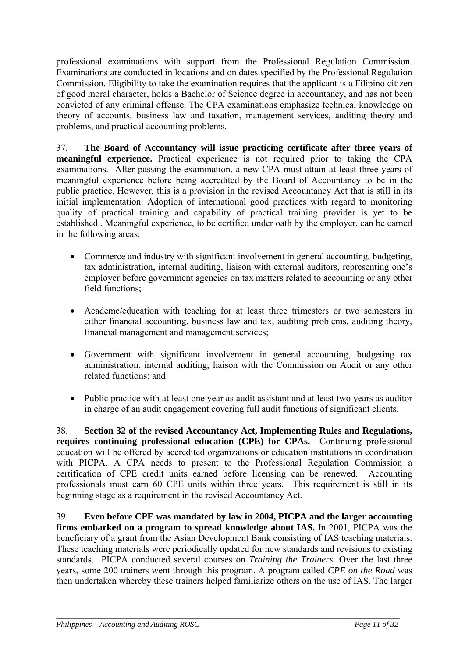professional examinations with support from the Professional Regulation Commission. Examinations are conducted in locations and on dates specified by the Professional Regulation Commission. Eligibility to take the examination requires that the applicant is a Filipino citizen of good moral character, holds a Bachelor of Science degree in accountancy, and has not been convicted of any criminal offense. The CPA examinations emphasize technical knowledge on theory of accounts, business law and taxation, management services, auditing theory and problems, and practical accounting problems.

37. **The Board of Accountancy will issue practicing certificate after three years of meaningful experience.** Practical experience is not required prior to taking the CPA examinations. After passing the examination, a new CPA must attain at least three years of meaningful experience before being accredited by the Board of Accountancy to be in the public practice. However, this is a provision in the revised Accountancy Act that is still in its initial implementation. Adoption of international good practices with regard to monitoring quality of practical training and capability of practical training provider is yet to be established.. Meaningful experience, to be certified under oath by the employer, can be earned in the following areas:

- Commerce and industry with significant involvement in general accounting, budgeting, tax administration, internal auditing, liaison with external auditors, representing one's employer before government agencies on tax matters related to accounting or any other field functions;
- Academe/education with teaching for at least three trimesters or two semesters in either financial accounting, business law and tax, auditing problems, auditing theory, financial management and management services;
- Government with significant involvement in general accounting, budgeting tax administration, internal auditing, liaison with the Commission on Audit or any other related functions; and
- Public practice with at least one year as audit assistant and at least two years as auditor in charge of an audit engagement covering full audit functions of significant clients.

38. **Section 32 of the revised Accountancy Act, Implementing Rules and Regulations, requires continuing professional education (CPE) for CPAs.** Continuing professional education will be offered by accredited organizations or education institutions in coordination with PICPA. A CPA needs to present to the Professional Regulation Commission a certification of CPE credit units earned before licensing can be renewed. Accounting professionals must earn 60 CPE units within three years. This requirement is still in its beginning stage as a requirement in the revised Accountancy Act.

39. **Even before CPE was mandated by law in 2004, PICPA and the larger accounting firms embarked on a program to spread knowledge about IAS.** In 2001, PICPA was the beneficiary of a grant from the Asian Development Bank consisting of IAS teaching materials. These teaching materials were periodically updated for new standards and revisions to existing standards. PICPA conducted several courses on *Training the Trainers.* Over the last three years, some 200 trainers went through this program. A program called *CPE on the Road* was then undertaken whereby these trainers helped familiarize others on the use of IAS. The larger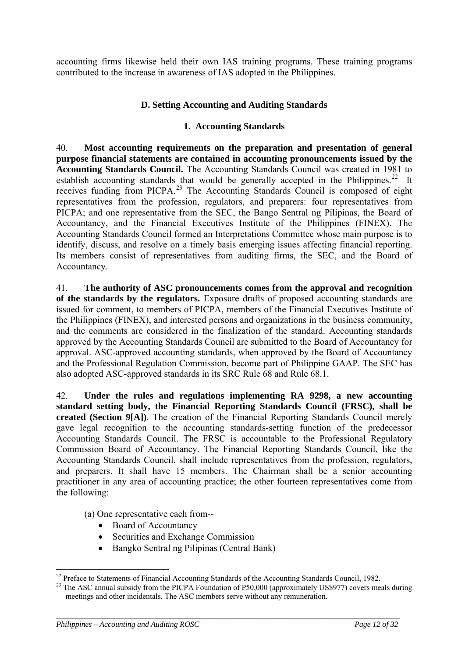accounting firms likewise held their own IAS training programs. These training programs contributed to the increase in awareness of IAS adopted in the Philippines.

### **D. Setting Accounting and Auditing Standards**

### **1. Accounting Standards**

40. **Most accounting requirements on the preparation and presentation of general purpose financial statements are contained in accounting pronouncements issued by the Accounting Standards Council.** The Accounting Standards Council was created in 1981 to establish accounting standards that would be generally accepted in the Philippines.<sup>[22](#page-11-0)</sup> It receives funding from PICPA.[23](#page-11-1) The Accounting Standards Council is composed of eight representatives from the profession, regulators, and preparers: four representatives from PICPA; and one representative from the SEC, the Bango Sentral ng Pilipinas, the Board of Accountancy, and the Financial Executives Institute of the Philippines (FINEX). The Accounting Standards Council formed an Interpretations Committee whose main purpose is to identify, discuss, and resolve on a timely basis emerging issues affecting financial reporting. Its members consist of representatives from auditing firms, the SEC, and the Board of Accountancy.

41. **The authority of ASC pronouncements comes from the approval and recognition of the standards by the regulators.** Exposure drafts of proposed accounting standards are issued for comment, to members of PICPA, members of the Financial Executives Institute of the Philippines (FINEX), and interested persons and organizations in the business community, and the comments are considered in the finalization of the standard. Accounting standards approved by the Accounting Standards Council are submitted to the Board of Accountancy for approval. ASC-approved accounting standards, when approved by the Board of Accountancy and the Professional Regulation Commission, become part of Philippine GAAP. The SEC has also adopted ASC-approved standards in its SRC Rule 68 and Rule 68.1.

42. **Under the rules and regulations implementing RA 9298, a new accounting standard setting body, the Financial Reporting Standards Council (FRSC), shall be created (Section 9[A])**. The creation of the Financial Reporting Standards Council merely gave legal recognition to the accounting standards-setting function of the predecessor Accounting Standards Council. The FRSC is accountable to the Professional Regulatory Commission Board of Accountancy. The Financial Reporting Standards Council, like the Accounting Standards Council, shall include representatives from the profession, regulators, and preparers. It shall have 15 members. The Chairman shall be a senior accounting practitioner in any area of accounting practice; the other fourteen representatives come from the following:

(a) One representative each from--

- Board of Accountancy
- Securities and Exchange Commission
- Bangko Sentral ng Pilipinas (Central Bank)

<span id="page-11-0"></span><sup>&</sup>lt;sup>22</sup> Preface to Statements of Financial Accounting Standards of the Accounting Standards Council, 1982.

<span id="page-11-1"></span><sup>&</sup>lt;sup>23</sup> The ASC annual subsidy from the PICPA Foundation of P50,000 (approximately US\$977) covers meals during meetings and other incidentals. The ASC members serve without any remuneration.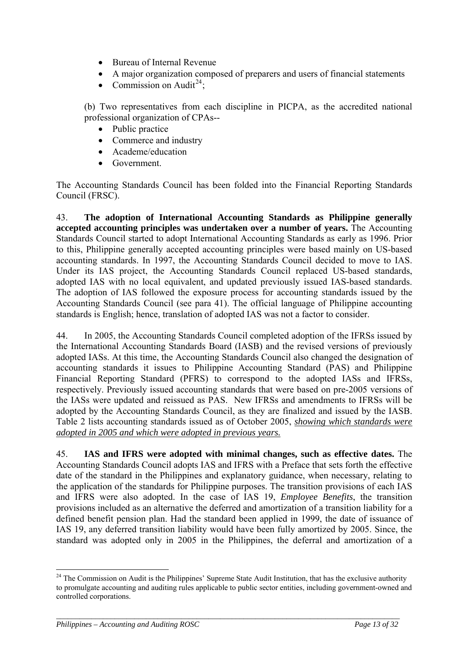- Bureau of Internal Revenue
- A major organization composed of preparers and users of financial statements
- Commission on Audit<sup>[24](#page-12-0)</sup>:

(b) Two representatives from each discipline in PICPA, as the accredited national professional organization of CPAs--

- Public practice
- Commerce and industry
- Academe/education
- Government.

The Accounting Standards Council has been folded into the Financial Reporting Standards Council (FRSC).

43. **The adoption of International Accounting Standards as Philippine generally accepted accounting principles was undertaken over a number of years.** The Accounting Standards Council started to adopt International Accounting Standards as early as 1996. Prior to this, Philippine generally accepted accounting principles were based mainly on US-based accounting standards. In 1997, the Accounting Standards Council decided to move to IAS. Under its IAS project, the Accounting Standards Council replaced US-based standards, adopted IAS with no local equivalent, and updated previously issued IAS-based standards. The adoption of IAS followed the exposure process for accounting standards issued by the Accounting Standards Council (see para 41). The official language of Philippine accounting standards is English; hence, translation of adopted IAS was not a factor to consider.

44. In 2005, the Accounting Standards Council completed adoption of the IFRSs issued by the International Accounting Standards Board (IASB) and the revised versions of previously adopted IASs. At this time, the Accounting Standards Council also changed the designation of accounting standards it issues to Philippine Accounting Standard (PAS) and Philippine Financial Reporting Standard (PFRS) to correspond to the adopted IASs and IFRSs, respectively. Previously issued accounting standards that were based on pre-2005 versions of the IASs were updated and reissued as PAS. New IFRSs and amendments to IFRSs will be adopted by the Accounting Standards Council, as they are finalized and issued by the IASB. Table 2 lists accounting standards issued as of October 2005, *showing which standards were adopted in 2005 and which were adopted in previous years.*

45. **IAS and IFRS were adopted with minimal changes, such as effective dates.** The Accounting Standards Council adopts IAS and IFRS with a Preface that sets forth the effective date of the standard in the Philippines and explanatory guidance, when necessary, relating to the application of the standards for Philippine purposes. The transition provisions of each IAS and IFRS were also adopted. In the case of IAS 19, *Employee Benefits*, the transition provisions included as an alternative the deferred and amortization of a transition liability for a defined benefit pension plan. Had the standard been applied in 1999, the date of issuance of IAS 19, any deferred transition liability would have been fully amortized by 2005. Since, the standard was adopted only in 2005 in the Philippines, the deferral and amortization of a

<span id="page-12-0"></span><sup>1</sup>  $24$  The Commission on Audit is the Philippines' Supreme State Audit Institution, that has the exclusive authority to promulgate accounting and auditing rules applicable to public sector entities, including government-owned and controlled corporations.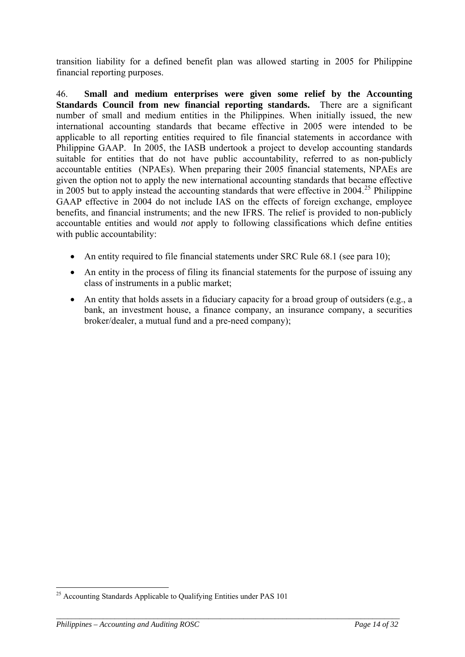transition liability for a defined benefit plan was allowed starting in 2005 for Philippine financial reporting purposes.

<span id="page-13-0"></span>46. **Small and medium enterprises were given some relief by the Accounting Standards Council from new financial reporting standards.** There are a significant number of small and medium entities in the Philippines. When initially issued, the new international accounting standards that became effective in 2005 were intended to be applicable to all reporting entities required to file financial statements in accordance with Philippine GAAP. In 2005, the IASB undertook a project to develop accounting standards suitable for entities that do not have public accountability, referred to as non-publicly accountable entities (NPAEs). When preparing their 2005 financial statements, NPAEs are given the option not to apply the new international accounting standards that became effective in 2005 but to apply instead the accounting standards that were effective in  $2004$ <sup>[25](#page-13-1)</sup> Philippine GAAP effective in 2004 do not include IAS on the effects of foreign exchange, employee benefits, and financial instruments; and the new IFRS. The relief is provided to non-publicly accountable entities and would *not* apply to following classifications which define entities with public accountability:

- An entity required to file financial statements under SRC Rule 68.1 (see para 10):
- An entity in the process of filing its financial statements for the purpose of issuing any class of instruments in a public market;
- An entity that holds assets in a fiduciary capacity for a broad group of outsiders (e.g., a bank, an investment house, a finance company, an insurance company, a securities broker/dealer, a mutual fund and a pre-need company);

*\_\_\_\_\_\_\_\_\_\_\_\_\_\_\_\_\_\_\_\_\_\_\_\_\_\_\_\_\_\_\_\_\_\_\_\_\_\_\_\_\_\_\_\_\_\_\_\_\_\_\_\_\_\_\_\_\_\_\_\_\_\_\_\_\_\_\_\_\_\_\_\_\_\_\_\_\_\_\_\_\_\_\_\_\_\_\_\_* 

<u>.</u>

<span id="page-13-1"></span><sup>&</sup>lt;sup>25</sup> Accounting Standards Applicable to Qualifying Entities under PAS 101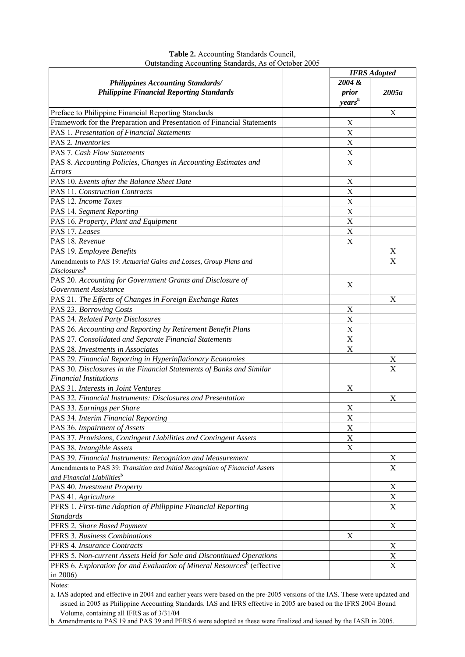|                                                                                     | <b>IFRS</b> Adopted       |                           |
|-------------------------------------------------------------------------------------|---------------------------|---------------------------|
| <b>Philippines Accounting Standards/</b>                                            | 2004 &                    |                           |
| <b>Philippine Financial Reporting Standards</b>                                     | prior                     | 2005a                     |
|                                                                                     | years <sup>a</sup>        |                           |
| Preface to Philippine Financial Reporting Standards                                 |                           | Х                         |
| Framework for the Preparation and Presentation of Financial Statements              | Χ                         |                           |
| PAS 1. Presentation of Financial Statements                                         | X                         |                           |
| PAS 2. Inventories                                                                  | $\mathbf X$               |                           |
| <b>PAS 7. Cash Flow Statements</b>                                                  | $\mathbf X$               |                           |
| PAS 8. Accounting Policies, Changes in Accounting Estimates and                     | $\mathbf X$               |                           |
| <b>Errors</b>                                                                       |                           |                           |
| PAS 10. Events after the Balance Sheet Date                                         | X                         |                           |
| PAS 11. Construction Contracts                                                      | $\boldsymbol{\mathrm{X}}$ |                           |
| PAS 12. Income Taxes                                                                | $\boldsymbol{\mathrm{X}}$ |                           |
| PAS 14. Segment Reporting                                                           | X                         |                           |
| PAS 16. Property, Plant and Equipment                                               | $\boldsymbol{\mathrm{X}}$ |                           |
| PAS 17. Leases                                                                      | X                         |                           |
| PAS 18. Revenue                                                                     | $\boldsymbol{\mathrm{X}}$ |                           |
| PAS 19. Employee Benefits                                                           |                           | X                         |
| Amendments to PAS 19: Actuarial Gains and Losses, Group Plans and                   |                           | X                         |
| Disclosures <sup>b</sup>                                                            |                           |                           |
| PAS 20. Accounting for Government Grants and Disclosure of                          |                           |                           |
| Government Assistance                                                               | X                         |                           |
| PAS 21. The Effects of Changes in Foreign Exchange Rates                            |                           | Χ                         |
| PAS 23. Borrowing Costs                                                             | $\mathbf X$               |                           |
| PAS 24. Related Party Disclosures                                                   | $\boldsymbol{\mathrm{X}}$ |                           |
| PAS 26. Accounting and Reporting by Retirement Benefit Plans                        | $\boldsymbol{\mathrm{X}}$ |                           |
| PAS 27. Consolidated and Separate Financial Statements                              | $\mathbf X$               |                           |
| PAS 28. Investments in Associates                                                   | $\mathbf X$               |                           |
| PAS 29. Financial Reporting in Hyperinflationary Economies                          |                           | X                         |
| PAS 30. Disclosures in the Financial Statements of Banks and Similar                |                           | X                         |
| <b>Financial Institutions</b>                                                       |                           |                           |
| PAS 31. Interests in Joint Ventures                                                 | Х                         |                           |
| PAS 32. Financial Instruments: Disclosures and Presentation                         |                           | X                         |
| PAS 33. Earnings per Share                                                          | Χ                         |                           |
| PAS 34. Interim Financial Reporting                                                 | $\overline{X}$            |                           |
| PAS 36. Impairment of Assets                                                        | X                         |                           |
| PAS 37. Provisions, Contingent Liabilities and Contingent Assets                    | X                         |                           |
| PAS 38. Intangible Assets                                                           | X                         |                           |
| PAS 39. Financial Instruments: Recognition and Measurement                          |                           | X                         |
| Amendments to PAS 39: Transition and Initial Recognition of Financial Assets        |                           | $\boldsymbol{\mathrm{X}}$ |
| and Financial Liabilities <sup>b</sup>                                              |                           |                           |
| PAS 40. Investment Property                                                         |                           | $\mathbf X$               |
| PAS 41. Agriculture                                                                 |                           | $\mathbf X$               |
| PFRS 1. First-time Adoption of Philippine Financial Reporting                       |                           | X                         |
| <b>Standards</b>                                                                    |                           |                           |
| PFRS 2. Share Based Payment                                                         |                           | X                         |
| PFRS 3. Business Combinations                                                       | X                         |                           |
| PFRS 4. Insurance Contracts                                                         |                           | X                         |
| PFRS 5. Non-current Assets Held for Sale and Discontinued Operations                |                           | X                         |
| PFRS 6. Exploration for and Evaluation of Mineral Resources <sup>b</sup> (effective |                           | $\mathbf X$               |
| in $2006$ )                                                                         |                           |                           |
|                                                                                     |                           |                           |

#### **Table 2.** Accounting Standards Council, Outstanding Accounting Standards, As of October 2005

Notes:

a. IAS adopted and effective in 2004 and earlier years were based on the pre-2005 versions of the IAS. These were updated and issued in 2005 as Philippine Accounting Standards. IAS and IFRS effective in 2005 are based on the IFRS 2004 Bound Volume, containing all IFRS as of 3/31/04

b. Amendments to PAS 19 and PAS 39 and PFRS 6 were adopted as these were finalized and issued by the IASB in 2005.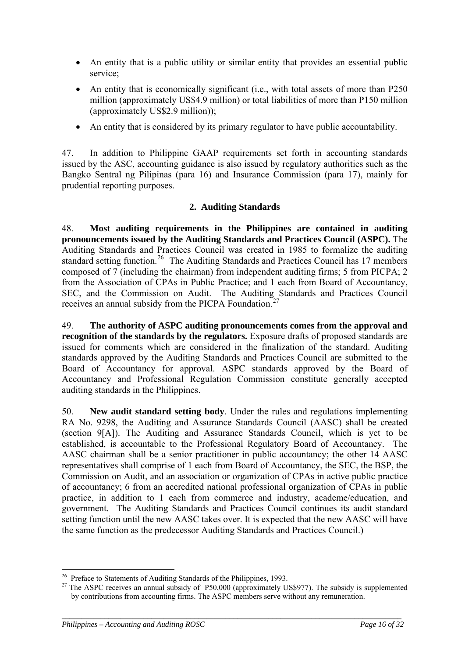- An entity that is a public utility or similar entity that provides an essential public service;
- An entity that is economically significant (i.e., with total assets of more than P250 million (approximately US\$4.9 million) or total liabilities of more than P150 million (approximately US\$2.9 million));
- An entity that is considered by its primary regulator to have public accountability.

47. In addition to Philippine GAAP requirements set forth in accounting standards issued by the ASC, accounting guidance is also issued by regulatory authorities such as the Bangko Sentral ng Pilipinas (para 16) and Insurance Commission (para 17), mainly for prudential reporting purposes.

### **2. Auditing Standards**

48. **Most auditing requirements in the Philippines are contained in auditing pronouncements issued by the Auditing Standards and Practices Council (ASPC).** The Auditing Standards and Practices Council was created in 1985 to formalize the auditing standard setting function.<sup>[26](#page-15-0)</sup> The Auditing Standards and Practices Council has 17 members composed of 7 (including the chairman) from independent auditing firms; 5 from PICPA; 2 from the Association of CPAs in Public Practice; and 1 each from Board of Accountancy, SEC, and the Commission on Audit. The Auditing Standards and Practices Council receives an annual subsidy from the PICPA Foundation.<sup>[27](#page-15-1)</sup>

49. **The authority of ASPC auditing pronouncements comes from the approval and recognition of the standards by the regulators.** Exposure drafts of proposed standards are issued for comments which are considered in the finalization of the standard. Auditing standards approved by the Auditing Standards and Practices Council are submitted to the Board of Accountancy for approval. ASPC standards approved by the Board of Accountancy and Professional Regulation Commission constitute generally accepted auditing standards in the Philippines.

50. **New audit standard setting body**. Under the rules and regulations implementing RA No. 9298, the Auditing and Assurance Standards Council (AASC) shall be created (section 9[A]). The Auditing and Assurance Standards Council, which is yet to be established, is accountable to the Professional Regulatory Board of Accountancy. The AASC chairman shall be a senior practitioner in public accountancy; the other 14 AASC representatives shall comprise of 1 each from Board of Accountancy, the SEC, the BSP, the Commission on Audit, and an association or organization of CPAs in active public practice of accountancy; 6 from an accredited national professional organization of CPAs in public practice, in addition to 1 each from commerce and industry, academe/education, and government. The Auditing Standards and Practices Council continues its audit standard setting function until the new AASC takes over. It is expected that the new AASC will have the same function as the predecessor Auditing Standards and Practices Council.)

<span id="page-15-0"></span><sup>&</sup>lt;sup>26</sup> Preface to Statements of Auditing Standards of the Philippines, 1993.

<span id="page-15-1"></span><sup>&</sup>lt;sup>27</sup> The ASPC receives an annual subsidy of P50,000 (approximately US\$977). The subsidy is supplemented by contributions from accounting firms. The ASPC members serve without any remuneration.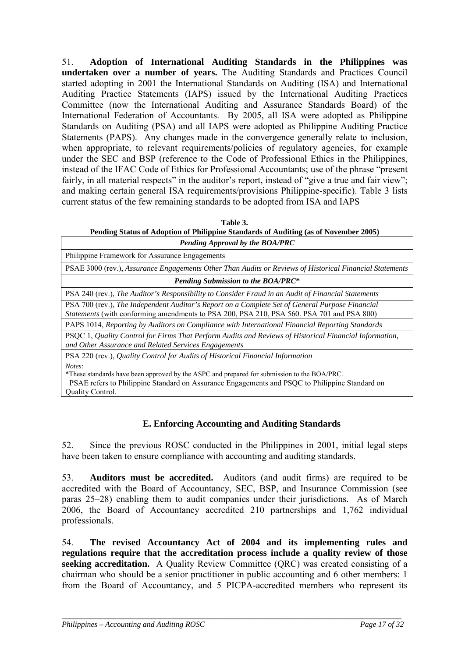51. **Adoption of International Auditing Standards in the Philippines was undertaken over a number of years.** The Auditing Standards and Practices Council started adopting in 2001 the International Standards on Auditing (ISA) and International Auditing Practice Statements (IAPS) issued by the International Auditing Practices Committee (now the International Auditing and Assurance Standards Board) of the International Federation of Accountants. By 2005, all ISA were adopted as Philippine Standards on Auditing (PSA) and all IAPS were adopted as Philippine Auditing Practice Statements (PAPS). Any changes made in the convergence generally relate to inclusion, when appropriate, to relevant requirements/policies of regulatory agencies, for example under the SEC and BSP (reference to the Code of Professional Ethics in the Philippines, instead of the IFAC Code of Ethics for Professional Accountants; use of the phrase "present fairly, in all material respects" in the auditor's report, instead of "give a true and fair view"; and making certain general ISA requirements/provisions Philippine-specific). Table 3 lists current status of the few remaining standards to be adopted from ISA and IAPS

**Table 3. Pending Status of Adoption of Philippine Standards of Auditing (as of November 2005)**

| Pending Approval by the BOA/PRC                                                                                                                                                                                                                                                                                                                                                                                      |  |  |
|----------------------------------------------------------------------------------------------------------------------------------------------------------------------------------------------------------------------------------------------------------------------------------------------------------------------------------------------------------------------------------------------------------------------|--|--|
| Philippine Framework for Assurance Engagements                                                                                                                                                                                                                                                                                                                                                                       |  |  |
| PSAE 3000 (rev.), Assurance Engagements Other Than Audits or Reviews of Historical Financial Statements                                                                                                                                                                                                                                                                                                              |  |  |
| <b>Pending Submission to the BOA/PRC*</b>                                                                                                                                                                                                                                                                                                                                                                            |  |  |
| PSA 240 (rev.), The Auditor's Responsibility to Consider Fraud in an Audit of Financial Statements                                                                                                                                                                                                                                                                                                                   |  |  |
| PSA 700 (rev.), The Independent Auditor's Report on a Complete Set of General Purpose Financial<br>Statements (with conforming amendments to PSA 200, PSA 210, PSA 560. PSA 701 and PSA 800)                                                                                                                                                                                                                         |  |  |
| PAPS 1014, Reporting by Auditors on Compliance with International Financial Reporting Standards                                                                                                                                                                                                                                                                                                                      |  |  |
| PSQC 1, Quality Control for Firms That Perform Audits and Reviews of Historical Financial Information,<br>and Other Assurance and Related Services Engagements                                                                                                                                                                                                                                                       |  |  |
| PSA 220 (rev.), Quality Control for Audits of Historical Financial Information                                                                                                                                                                                                                                                                                                                                       |  |  |
| Notes:<br>*These standards have been approved by the ASPC and prepared for submission to the BOA/PRC.<br>$\mathbf{m}$ , $\mathbf{m}$ , $\mathbf{m}$ , $\mathbf{m}$ , $\mathbf{m}$ , $\mathbf{m}$ , $\mathbf{m}$ , $\mathbf{m}$ , $\mathbf{m}$ , $\mathbf{m}$ , $\mathbf{m}$ , $\mathbf{m}$ , $\mathbf{m}$ , $\mathbf{m}$ , $\mathbf{m}$ , $\mathbf{m}$ , $\mathbf{m}$ , $\mathbf{m}$ , $\mathbf{m}$ , $\mathbf{m}$ , |  |  |

 PSAE refers to Philippine Standard on Assurance Engagements and PSQC to Philippine Standard on Quality Control.

### **E. Enforcing Accounting and Auditing Standards**

52. Since the previous ROSC conducted in the Philippines in 2001, initial legal steps have been taken to ensure compliance with accounting and auditing standards.

53. **Auditors must be accredited.** Auditors (and audit firms) are required to be accredited with the Board of Accountancy, SEC, BSP, and Insurance Commission (see paras 25–28) enabling them to audit companies under their jurisdictions. As of March 2006, the Board of Accountancy accredited 210 partnerships and 1,762 individual professionals.

54. **The revised Accountancy Act of 2004 and its implementing rules and regulations require that the accreditation process include a quality review of those seeking accreditation.** A Quality Review Committee (QRC) was created consisting of a chairman who should be a senior practitioner in public accounting and 6 other members: 1 from the Board of Accountancy, and 5 PICPA-accredited members who represent its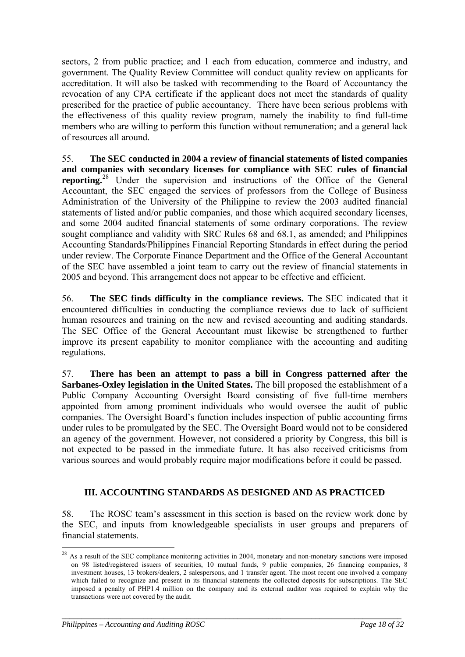sectors, 2 from public practice; and 1 each from education, commerce and industry, and government. The Quality Review Committee will conduct quality review on applicants for accreditation. It will also be tasked with recommending to the Board of Accountancy the revocation of any CPA certificate if the applicant does not meet the standards of quality prescribed for the practice of public accountancy. There have been serious problems with the effectiveness of this quality review program, namely the inability to find full-time members who are willing to perform this function without remuneration; and a general lack of resources all around.

55. **The SEC conducted in 2004 a review of financial statements of listed companies and companies with secondary licenses for compliance with SEC rules of financial reporting.**<sup>[28](#page-17-0)</sup> Under the supervision and instructions of the Office of the General Accountant, the SEC engaged the services of professors from the College of Business Administration of the University of the Philippine to review the 2003 audited financial statements of listed and/or public companies, and those which acquired secondary licenses, and some 2004 audited financial statements of some ordinary corporations. The review sought compliance and validity with SRC Rules 68 and 68.1, as amended; and Philippines Accounting Standards/Philippines Financial Reporting Standards in effect during the period under review. The Corporate Finance Department and the Office of the General Accountant of the SEC have assembled a joint team to carry out the review of financial statements in 2005 and beyond. This arrangement does not appear to be effective and efficient.

56. **The SEC finds difficulty in the compliance reviews.** The SEC indicated that it encountered difficulties in conducting the compliance reviews due to lack of sufficient human resources and training on the new and revised accounting and auditing standards. The SEC Office of the General Accountant must likewise be strengthened to further improve its present capability to monitor compliance with the accounting and auditing regulations.

57. **There has been an attempt to pass a bill in Congress patterned after the Sarbanes-Oxley legislation in the United States.** The bill proposed the establishment of a Public Company Accounting Oversight Board consisting of five full-time members appointed from among prominent individuals who would oversee the audit of public companies. The Oversight Board's function includes inspection of public accounting firms under rules to be promulgated by the SEC. The Oversight Board would not to be considered an agency of the government. However, not considered a priority by Congress, this bill is not expected to be passed in the immediate future. It has also received criticisms from various sources and would probably require major modifications before it could be passed.

### **III. ACCOUNTING STANDARDS AS DESIGNED AND AS PRACTICED**

58. The ROSC team's assessment in this section is based on the review work done by the SEC, and inputs from knowledgeable specialists in user groups and preparers of financial statements.

*\_\_\_\_\_\_\_\_\_\_\_\_\_\_\_\_\_\_\_\_\_\_\_\_\_\_\_\_\_\_\_\_\_\_\_\_\_\_\_\_\_\_\_\_\_\_\_\_\_\_\_\_\_\_\_\_\_\_\_\_\_\_\_\_\_\_\_\_\_\_\_\_\_\_\_\_\_\_\_\_\_\_\_\_\_\_\_* 

 $\overline{a}$ 

<span id="page-17-0"></span><sup>&</sup>lt;sup>28</sup> As a result of the SEC compliance monitoring activities in 2004, monetary and non-monetary sanctions were imposed on 98 listed/registered issuers of securities, 10 mutual funds, 9 public companies, 26 financing companies, 8 investment houses, 13 brokers/dealers, 2 salespersons, and 1 transfer agent. The most recent one involved a company which failed to recognize and present in its financial statements the collected deposits for subscriptions. The SEC imposed a penalty of PHP1.4 million on the company and its external auditor was required to explain why the transactions were not covered by the audit.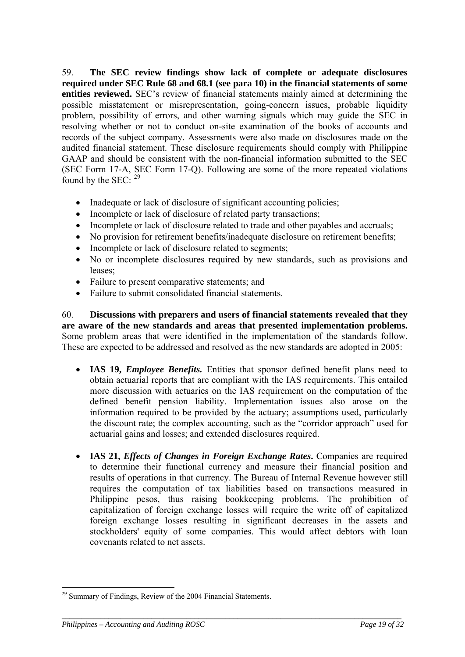59. **The SEC review findings show lack of complete or adequate disclosures required under SEC Rule 68 and 68.1 (see para 10) in the financial statements of some entities reviewed.** SEC's review of financial statements mainly aimed at determining the possible misstatement or misrepresentation, going-concern issues, probable liquidity problem, possibility of errors, and other warning signals which may guide the SEC in resolving whether or not to conduct on-site examination of the books of accounts and records of the subject company. Assessments were also made on disclosures made on the audited financial statement. These disclosure requirements should comply with Philippine GAAP and should be consistent with the non-financial information submitted to the SEC (SEC Form 17-A, SEC Form 17-Q). Following are some of the more repeated violations found by the SEC:  $29$ 

- Inadequate or lack of disclosure of significant accounting policies;
- Incomplete or lack of disclosure of related party transactions;
- Incomplete or lack of disclosure related to trade and other payables and accruals;
- No provision for retirement benefits/inadequate disclosure on retirement benefits;
- Incomplete or lack of disclosure related to segments;
- No or incomplete disclosures required by new standards, such as provisions and leases;
- Failure to present comparative statements; and
- Failure to submit consolidated financial statements.

60. **Discussions with preparers and users of financial statements revealed that they are aware of the new standards and areas that presented implementation problems.** Some problem areas that were identified in the implementation of the standards follow. These are expected to be addressed and resolved as the new standards are adopted in 2005:

- **IAS 19,** *Employee Benefits*. Entities that sponsor defined benefit plans need to obtain actuarial reports that are compliant with the IAS requirements. This entailed more discussion with actuaries on the IAS requirement on the computation of the defined benefit pension liability. Implementation issues also arose on the information required to be provided by the actuary; assumptions used, particularly the discount rate; the complex accounting, such as the "corridor approach" used for actuarial gains and losses; and extended disclosures required.
- **IAS 21,** *Effects of Changes in Foreign Exchange Rates*. Companies are required to determine their functional currency and measure their financial position and results of operations in that currency. The Bureau of Internal Revenue however still requires the computation of tax liabilities based on transactions measured in Philippine pesos, thus raising bookkeeping problems. The prohibition of capitalization of foreign exchange losses will require the write off of capitalized foreign exchange losses resulting in significant decreases in the assets and stockholders' equity of some companies. This would affect debtors with loan covenants related to net assets.

*\_\_\_\_\_\_\_\_\_\_\_\_\_\_\_\_\_\_\_\_\_\_\_\_\_\_\_\_\_\_\_\_\_\_\_\_\_\_\_\_\_\_\_\_\_\_\_\_\_\_\_\_\_\_\_\_\_\_\_\_\_\_\_\_\_\_\_\_\_\_\_\_\_\_\_\_\_\_\_\_\_\_\_\_\_\_\_* 

 $\overline{a}$ 

<span id="page-18-0"></span><sup>&</sup>lt;sup>29</sup> Summary of Findings, Review of the 2004 Financial Statements.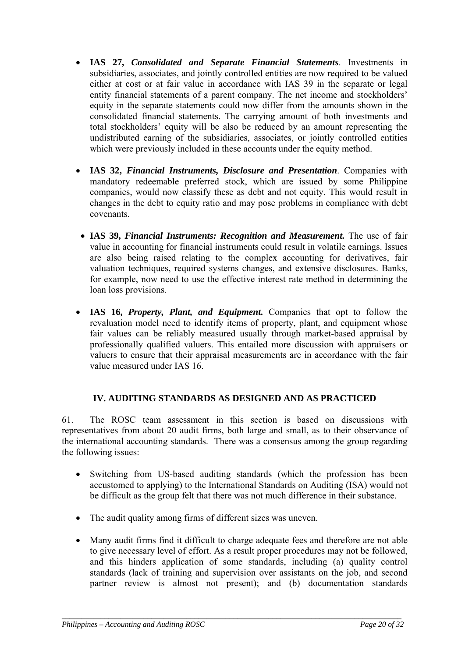- **IAS 27,** *Consolidated and Separate Financial Statements*. Investments in subsidiaries, associates, and jointly controlled entities are now required to be valued either at cost or at fair value in accordance with IAS 39 in the separate or legal entity financial statements of a parent company. The net income and stockholders' equity in the separate statements could now differ from the amounts shown in the consolidated financial statements. The carrying amount of both investments and total stockholders' equity will be also be reduced by an amount representing the undistributed earning of the subsidiaries, associates, or jointly controlled entities which were previously included in these accounts under the equity method.
- **IAS 32,** *Financial Instruments, Disclosure and Presentation*. Companies with mandatory redeemable preferred stock, which are issued by some Philippine companies, would now classify these as debt and not equity. This would result in changes in the debt to equity ratio and may pose problems in compliance with debt covenants.
- **IAS 39,** *Financial Instruments: Recognition and Measurement.* The use of fair value in accounting for financial instruments could result in volatile earnings. Issues are also being raised relating to the complex accounting for derivatives, fair valuation techniques, required systems changes, and extensive disclosures. Banks, for example, now need to use the effective interest rate method in determining the loan loss provisions.
- **IAS 16,** *Property, Plant, and Equipment.* Companies that opt to follow the revaluation model need to identify items of property, plant, and equipment whose fair values can be reliably measured usually through market-based appraisal by professionally qualified valuers. This entailed more discussion with appraisers or valuers to ensure that their appraisal measurements are in accordance with the fair value measured under IAS 16.

## **IV. AUDITING STANDARDS AS DESIGNED AND AS PRACTICED**

61. The ROSC team assessment in this section is based on discussions with representatives from about 20 audit firms, both large and small, as to their observance of the international accounting standards. There was a consensus among the group regarding the following issues:

- Switching from US-based auditing standards (which the profession has been accustomed to applying) to the International Standards on Auditing (ISA) would not be difficult as the group felt that there was not much difference in their substance.
- The audit quality among firms of different sizes was uneven.
- Many audit firms find it difficult to charge adequate fees and therefore are not able to give necessary level of effort. As a result proper procedures may not be followed, and this hinders application of some standards, including (a) quality control standards (lack of training and supervision over assistants on the job, and second partner review is almost not present); and (b) documentation standards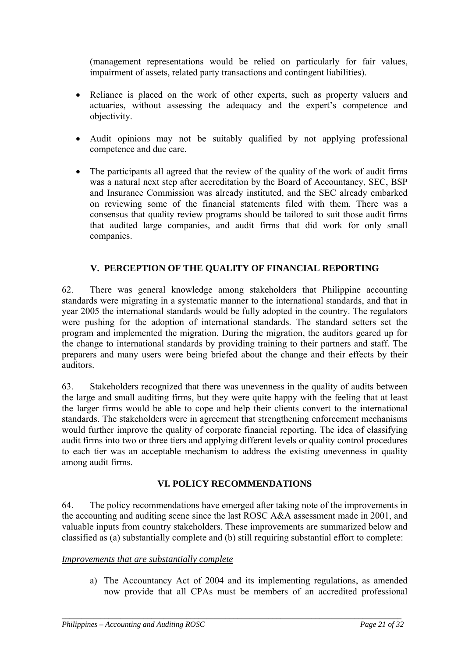(management representations would be relied on particularly for fair values, impairment of assets, related party transactions and contingent liabilities).

- Reliance is placed on the work of other experts, such as property valuers and actuaries, without assessing the adequacy and the expert's competence and objectivity.
- Audit opinions may not be suitably qualified by not applying professional competence and due care.
- The participants all agreed that the review of the quality of the work of audit firms was a natural next step after accreditation by the Board of Accountancy, SEC, BSP and Insurance Commission was already instituted, and the SEC already embarked on reviewing some of the financial statements filed with them. There was a consensus that quality review programs should be tailored to suit those audit firms that audited large companies, and audit firms that did work for only small companies.

### **V. PERCEPTION OF THE QUALITY OF FINANCIAL REPORTING**

62. There was general knowledge among stakeholders that Philippine accounting standards were migrating in a systematic manner to the international standards, and that in year 2005 the international standards would be fully adopted in the country. The regulators were pushing for the adoption of international standards. The standard setters set the program and implemented the migration. During the migration, the auditors geared up for the change to international standards by providing training to their partners and staff. The preparers and many users were being briefed about the change and their effects by their auditors.

63. Stakeholders recognized that there was unevenness in the quality of audits between the large and small auditing firms, but they were quite happy with the feeling that at least the larger firms would be able to cope and help their clients convert to the international standards. The stakeholders were in agreement that strengthening enforcement mechanisms would further improve the quality of corporate financial reporting. The idea of classifying audit firms into two or three tiers and applying different levels or quality control procedures to each tier was an acceptable mechanism to address the existing unevenness in quality among audit firms.

### **VI. POLICY RECOMMENDATIONS**

64. The policy recommendations have emerged after taking note of the improvements in the accounting and auditing scene since the last ROSC A&A assessment made in 2001, and valuable inputs from country stakeholders. These improvements are summarized below and classified as (a) substantially complete and (b) still requiring substantial effort to complete:

*\_\_\_\_\_\_\_\_\_\_\_\_\_\_\_\_\_\_\_\_\_\_\_\_\_\_\_\_\_\_\_\_\_\_\_\_\_\_\_\_\_\_\_\_\_\_\_\_\_\_\_\_\_\_\_\_\_\_\_\_\_\_\_\_\_\_\_\_\_\_\_\_\_\_\_\_\_\_\_\_\_\_\_\_\_\_\_* 

#### *Improvements that are substantially complete*

a) The Accountancy Act of 2004 and its implementing regulations, as amended now provide that all CPAs must be members of an accredited professional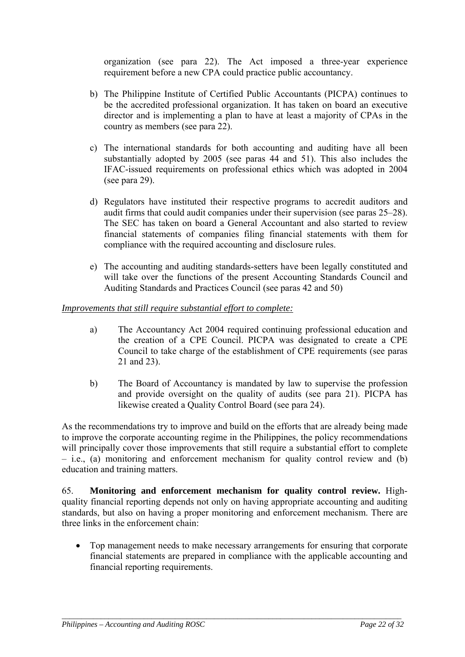organization (see para 22). The Act imposed a three-year experience requirement before a new CPA could practice public accountancy.

- b) The Philippine Institute of Certified Public Accountants (PICPA) continues to be the accredited professional organization. It has taken on board an executive director and is implementing a plan to have at least a majority of CPAs in the country as members (see para 22).
- c) The international standards for both accounting and auditing have all been substantially adopted by 2005 (see paras 44 and 51). This also includes the IFAC-issued requirements on professional ethics which was adopted in 2004 (see para 29).
- d) Regulators have instituted their respective programs to accredit auditors and audit firms that could audit companies under their supervision (see paras 25–28). The SEC has taken on board a General Accountant and also started to review financial statements of companies filing financial statements with them for compliance with the required accounting and disclosure rules.
- e) The accounting and auditing standards-setters have been legally constituted and will take over the functions of the present Accounting Standards Council and Auditing Standards and Practices Council (see paras 42 and 50)

### *Improvements that still require substantial effort to complete:*

- a) The Accountancy Act 2004 required continuing professional education and the creation of a CPE Council. PICPA was designated to create a CPE Council to take charge of the establishment of CPE requirements (see paras 21 and 23).
- b) The Board of Accountancy is mandated by law to supervise the profession and provide oversight on the quality of audits (see para 21). PICPA has likewise created a Quality Control Board (see para 24).

As the recommendations try to improve and build on the efforts that are already being made to improve the corporate accounting regime in the Philippines, the policy recommendations will principally cover those improvements that still require a substantial effort to complete – i.e., (a) monitoring and enforcement mechanism for quality control review and (b) education and training matters.

65. **Monitoring and enforcement mechanism for quality control review.** Highquality financial reporting depends not only on having appropriate accounting and auditing standards, but also on having a proper monitoring and enforcement mechanism. There are three links in the enforcement chain:

• Top management needs to make necessary arrangements for ensuring that corporate financial statements are prepared in compliance with the applicable accounting and financial reporting requirements.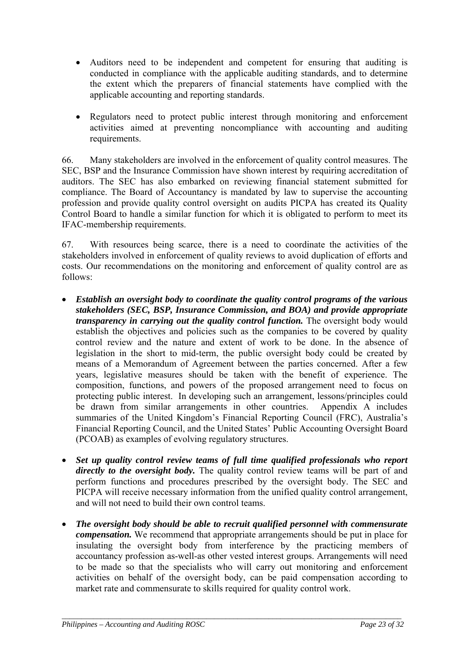- Auditors need to be independent and competent for ensuring that auditing is conducted in compliance with the applicable auditing standards, and to determine the extent which the preparers of financial statements have complied with the applicable accounting and reporting standards.
- Regulators need to protect public interest through monitoring and enforcement activities aimed at preventing noncompliance with accounting and auditing requirements.

66. Many stakeholders are involved in the enforcement of quality control measures. The SEC, BSP and the Insurance Commission have shown interest by requiring accreditation of auditors. The SEC has also embarked on reviewing financial statement submitted for compliance. The Board of Accountancy is mandated by law to supervise the accounting profession and provide quality control oversight on audits PICPA has created its Quality Control Board to handle a similar function for which it is obligated to perform to meet its IFAC-membership requirements.

67. With resources being scarce, there is a need to coordinate the activities of the stakeholders involved in enforcement of quality reviews to avoid duplication of efforts and costs. Our recommendations on the monitoring and enforcement of quality control are as follows:

- *Establish an oversight body to coordinate the quality control programs of the various stakeholders (SEC, BSP, Insurance Commission, and BOA) and provide appropriate transparency in carrying out the quality control function.* The oversight body would establish the objectives and policies such as the companies to be covered by quality control review and the nature and extent of work to be done. In the absence of legislation in the short to mid-term, the public oversight body could be created by means of a Memorandum of Agreement between the parties concerned. After a few years, legislative measures should be taken with the benefit of experience. The composition, functions, and powers of the proposed arrangement need to focus on protecting public interest. In developing such an arrangement, lessons/principles could be drawn from similar arrangements in other countries. Appendix A includes summaries of the United Kingdom's Financial Reporting Council (FRC), Australia's Financial Reporting Council, and the United States' Public Accounting Oversight Board (PCOAB) as examples of evolving regulatory structures.
- *Set up quality control review teams of full time qualified professionals who report directly to the oversight body.* The quality control review teams will be part of and perform functions and procedures prescribed by the oversight body. The SEC and PICPA will receive necessary information from the unified quality control arrangement, and will not need to build their own control teams.
- *The oversight body should be able to recruit qualified personnel with commensurate compensation.* We recommend that appropriate arrangements should be put in place for insulating the oversight body from interference by the practicing members of accountancy profession as-well-as other vested interest groups. Arrangements will need to be made so that the specialists who will carry out monitoring and enforcement activities on behalf of the oversight body, can be paid compensation according to market rate and commensurate to skills required for quality control work.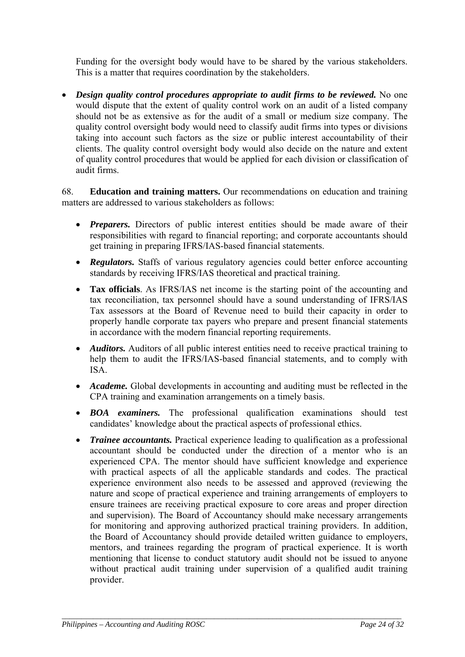Funding for the oversight body would have to be shared by the various stakeholders. This is a matter that requires coordination by the stakeholders.

• *Design quality control procedures appropriate to audit firms to be reviewed.* No one would dispute that the extent of quality control work on an audit of a listed company should not be as extensive as for the audit of a small or medium size company. The quality control oversight body would need to classify audit firms into types or divisions taking into account such factors as the size or public interest accountability of their clients. The quality control oversight body would also decide on the nature and extent of quality control procedures that would be applied for each division or classification of audit firms.

68. **Education and training matters.** Our recommendations on education and training matters are addressed to various stakeholders as follows:

- *Preparers.* Directors of public interest entities should be made aware of their responsibilities with regard to financial reporting; and corporate accountants should get training in preparing IFRS/IAS-based financial statements.
- *Regulators.* Staffs of various regulatory agencies could better enforce accounting standards by receiving IFRS/IAS theoretical and practical training.
- **Tax officials**. As IFRS/IAS net income is the starting point of the accounting and tax reconciliation, tax personnel should have a sound understanding of IFRS/IAS Tax assessors at the Board of Revenue need to build their capacity in order to properly handle corporate tax payers who prepare and present financial statements in accordance with the modern financial reporting requirements.
- *Auditors*. Auditors of all public interest entities need to receive practical training to help them to audit the IFRS/IAS-based financial statements, and to comply with ISA.
- *Academe*. Global developments in accounting and auditing must be reflected in the CPA training and examination arrangements on a timely basis.
- *BOA examiners.* The professional qualification examinations should test candidates' knowledge about the practical aspects of professional ethics.
- *Trainee accountants.* Practical experience leading to qualification as a professional accountant should be conducted under the direction of a mentor who is an experienced CPA. The mentor should have sufficient knowledge and experience with practical aspects of all the applicable standards and codes. The practical experience environment also needs to be assessed and approved (reviewing the nature and scope of practical experience and training arrangements of employers to ensure trainees are receiving practical exposure to core areas and proper direction and supervision). The Board of Accountancy should make necessary arrangements for monitoring and approving authorized practical training providers. In addition, the Board of Accountancy should provide detailed written guidance to employers, mentors, and trainees regarding the program of practical experience. It is worth mentioning that license to conduct statutory audit should not be issued to anyone without practical audit training under supervision of a qualified audit training provider.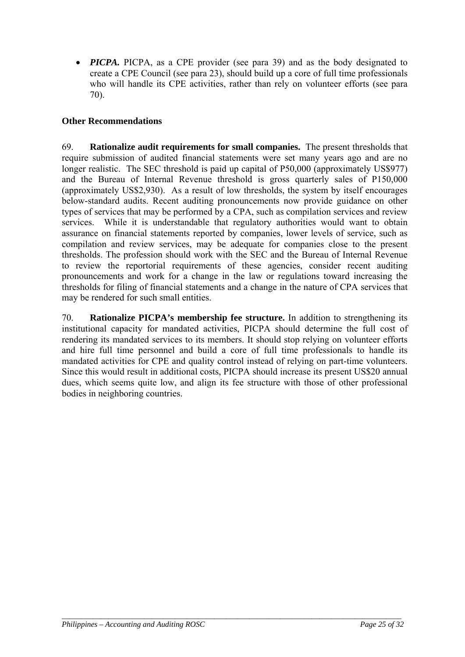• *PICPA*. PICPA, as a CPE provider (see para 39) and as the body designated to create a CPE Council (see para 23), should build up a core of full time professionals who will handle its CPE activities, rather than rely on volunteer efforts (see para 70).

## **Other Recommendations**

69. **Rationalize audit requirements for small companies.** The present thresholds that require submission of audited financial statements were set many years ago and are no longer realistic. The SEC threshold is paid up capital of P50,000 (approximately US\$977) and the Bureau of Internal Revenue threshold is gross quarterly sales of P150,000 (approximately US\$2,930). As a result of low thresholds, the system by itself encourages below-standard audits. Recent auditing pronouncements now provide guidance on other types of services that may be performed by a CPA, such as compilation services and review services. While it is understandable that regulatory authorities would want to obtain assurance on financial statements reported by companies, lower levels of service, such as compilation and review services, may be adequate for companies close to the present thresholds. The profession should work with the SEC and the Bureau of Internal Revenue to review the reportorial requirements of these agencies, consider recent auditing pronouncements and work for a change in the law or regulations toward increasing the thresholds for filing of financial statements and a change in the nature of CPA services that may be rendered for such small entities.

70. **Rationalize PICPA's membership fee structure.** In addition to strengthening its institutional capacity for mandated activities, PICPA should determine the full cost of rendering its mandated services to its members. It should stop relying on volunteer efforts and hire full time personnel and build a core of full time professionals to handle its mandated activities for CPE and quality control instead of relying on part-time volunteers. Since this would result in additional costs, PICPA should increase its present US\$20 annual dues, which seems quite low, and align its fee structure with those of other professional bodies in neighboring countries.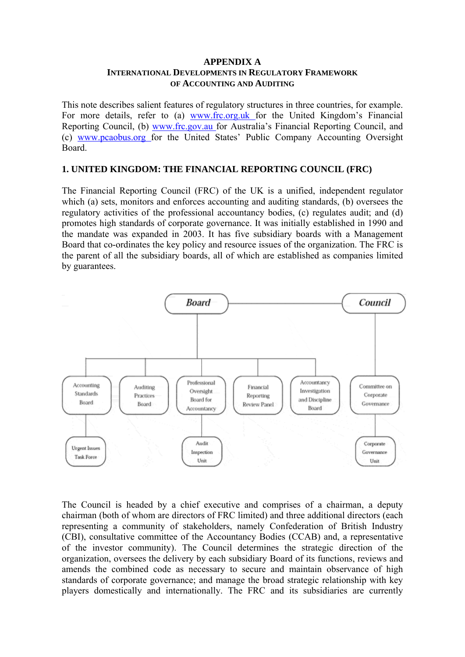#### **APPENDIX A INTERNATIONAL DEVELOPMENTS IN REGULATORY FRAMEWORK OF ACCOUNTING AND AUDITING**

This note describes salient features of regulatory structures in three countries, for example. For more details, refer to (a) www.frc.org.uk for the United Kingdom's Financial Reporting Council, (b) www.frc.gov.au for Australia's Financial Reporting Council, and (c) www.pcaobus.org for the United States' Public Company Accounting Oversight Board.

#### **1. UNITED KINGDOM: THE FINANCIAL REPORTING COUNCIL (FRC)**

The Financial Reporting Council (FRC) of the UK is a unified, independent regulator which (a) sets, monitors and enforces accounting and auditing standards, (b) oversees the regulatory activities of the professional accountancy bodies, (c) regulates audit; and (d) promotes high standards of corporate governance. It was initially established in 1990 and the mandate was expanded in 2003. It has five subsidiary boards with a Management Board that co-ordinates the key policy and resource issues of the organization. The FRC is the parent of all the subsidiary boards, all of which are established as companies limited by guarantees.



The Council is headed by a chief executive and comprises of a chairman, a deputy chairman (both of whom are directors of FRC limited) and three additional directors (each representing a community of stakeholders, namely Confederation of British Industry (CBI), consultative committee of the Accountancy Bodies (CCAB) and, a representative of the investor community). The Council determines the strategic direction of the organization, oversees the delivery by each subsidiary Board of its functions, reviews and amends the combined code as necessary to secure and maintain observance of high standards of corporate governance; and manage the broad strategic relationship with key players domestically and internationally. The FRC and its subsidiaries are currently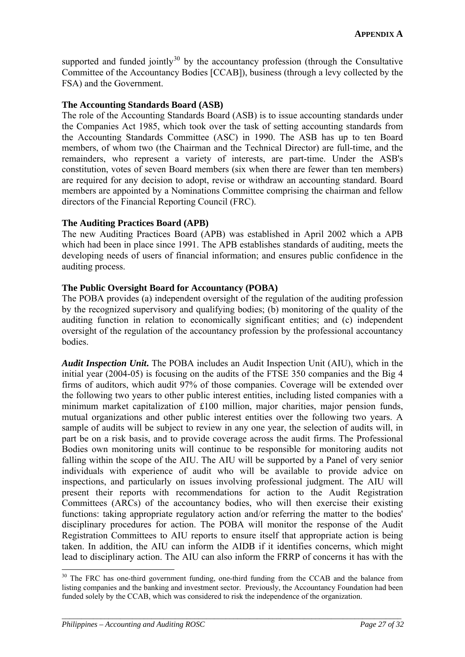supported and funded jointly $30$  by the accountancy profession (through the Consultative Committee of the Accountancy Bodies [CCAB]), business (through a levy collected by the FSA) and the Government.

#### **The Accounting Standards Board (ASB)**

The role of the Accounting Standards Board (ASB) is to issue accounting standards under the Companies Act 1985, which took over the task of setting accounting standards from the Accounting Standards Committee (ASC) in 1990. The ASB has up to ten Board members, of whom two (the Chairman and the Technical Director) are full-time, and the remainders, who represent a variety of interests, are part-time. Under the ASB's constitution, votes of seven Board members (six when there are fewer than ten members) are required for any decision to adopt, revise or withdraw an accounting standard. Board members are appointed by a Nominations Committee comprising the chairman and fellow directors of the Financial Reporting Council (FRC).

#### **The Auditing Practices Board (APB)**

The new Auditing Practices Board (APB) was established in April 2002 which a APB which had been in place since 1991. The APB establishes standards of auditing, meets the developing needs of users of financial information; and ensures public confidence in the auditing process.

### **The Public Oversight Board for Accountancy (POBA)**

The POBA provides (a) independent oversight of the regulation of the auditing profession by the recognized supervisory and qualifying bodies; (b) monitoring of the quality of the auditing function in relation to economically significant entities; and (c) independent oversight of the regulation of the accountancy profession by the professional accountancy bodies.

*Audit Inspection Unit***.** The POBA includes an Audit Inspection Unit (AIU), which in the initial year (2004-05) is focusing on the audits of the FTSE 350 companies and the Big 4 firms of auditors, which audit 97% of those companies. Coverage will be extended over the following two years to other public interest entities, including listed companies with a minimum market capitalization of  $£100$  million, major charities, major pension funds, mutual organizations and other public interest entities over the following two years. A sample of audits will be subject to review in any one year, the selection of audits will, in part be on a risk basis, and to provide coverage across the audit firms. The Professional Bodies own monitoring units will continue to be responsible for monitoring audits not falling within the scope of the AIU. The AIU will be supported by a Panel of very senior individuals with experience of audit who will be available to provide advice on inspections, and particularly on issues involving professional judgment. The AIU will present their reports with recommendations for action to the Audit Registration Committees (ARCs) of the accountancy bodies, who will then exercise their existing functions: taking appropriate regulatory action and/or referring the matter to the bodies' disciplinary procedures for action. The POBA will monitor the response of the Audit Registration Committees to AIU reports to ensure itself that appropriate action is being taken. In addition, the AIU can inform the AIDB if it identifies concerns, which might lead to disciplinary action. The AIU can also inform the FRRP of concerns it has with the

*\_\_\_\_\_\_\_\_\_\_\_\_\_\_\_\_\_\_\_\_\_\_\_\_\_\_\_\_\_\_\_\_\_\_\_\_\_\_\_\_\_\_\_\_\_\_\_\_\_\_\_\_\_\_\_\_\_\_\_\_\_\_\_\_\_\_\_\_\_\_\_\_\_\_\_\_\_\_\_\_\_\_\_\_\_\_\_* 

 $\overline{a}$ 

<span id="page-26-0"></span><sup>&</sup>lt;sup>30</sup> The FRC has one-third government funding, one-third funding from the CCAB and the balance from listing companies and the banking and investment sector. Previously, the Accountancy Foundation had been funded solely by the CCAB, which was considered to risk the independence of the organization.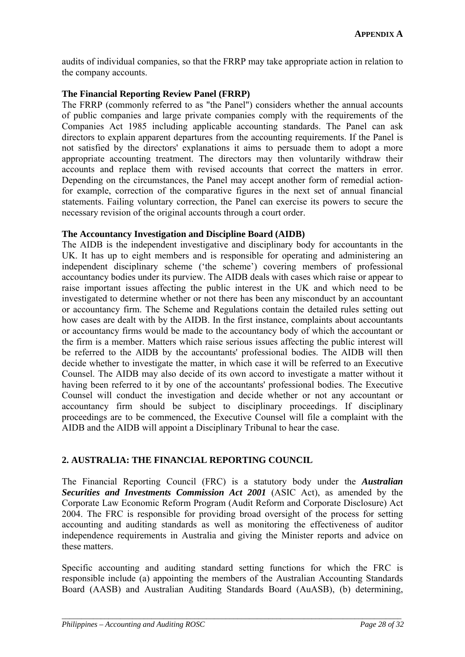audits of individual companies, so that the FRRP may take appropriate action in relation to the company accounts.

### **The Financial Reporting Review Panel (FRRP)**

The FRRP (commonly referred to as "the Panel") considers whether the annual accounts of public companies and large private companies comply with the requirements of the Companies Act 1985 including applicable accounting standards. The Panel can ask directors to explain apparent departures from the accounting requirements. If the Panel is not satisfied by the directors' explanations it aims to persuade them to adopt a more appropriate accounting treatment. The directors may then voluntarily withdraw their accounts and replace them with revised accounts that correct the matters in error. Depending on the circumstances, the Panel may accept another form of remedial actionfor example, correction of the comparative figures in the next set of annual financial statements. Failing voluntary correction, the Panel can exercise its powers to secure the necessary revision of the original accounts through a court order.

### **The Accountancy Investigation and Discipline Board (AIDB)**

The AIDB is the independent investigative and disciplinary body for accountants in the UK. It has up to eight members and is responsible for operating and administering an independent disciplinary scheme ('the scheme') covering members of professional accountancy bodies under its purview. The AIDB deals with cases which raise or appear to raise important issues affecting the public interest in the UK and which need to be investigated to determine whether or not there has been any misconduct by an accountant or accountancy firm. The Scheme and Regulations contain the detailed rules setting out how cases are dealt with by the AIDB. In the first instance, complaints about accountants or accountancy firms would be made to the accountancy body of which the accountant or the firm is a member. Matters which raise serious issues affecting the public interest will be referred to the AIDB by the accountants' professional bodies. The AIDB will then decide whether to investigate the matter, in which case it will be referred to an Executive Counsel. The AIDB may also decide of its own accord to investigate a matter without it having been referred to it by one of the accountants' professional bodies. The Executive Counsel will conduct the investigation and decide whether or not any accountant or accountancy firm should be subject to disciplinary proceedings. If disciplinary proceedings are to be commenced, the Executive Counsel will file a complaint with the AIDB and the AIDB will appoint a Disciplinary Tribunal to hear the case.

## **2. AUSTRALIA: THE FINANCIAL REPORTING COUNCIL**

The Financial Reporting Council (FRC) is a statutory body under the *Australian Securities and Investments Commission Act 2001* (ASIC Act), as amended by the Corporate Law Economic Reform Program (Audit Reform and Corporate Disclosure) Act 2004. The FRC is responsible for providing broad oversight of the process for setting accounting and auditing standards as well as monitoring the effectiveness of auditor independence requirements in Australia and giving the Minister reports and advice on these matters.

Specific accounting and auditing standard setting functions for which the FRC is responsible include (a) appointing the members of the Australian Accounting Standards Board (AASB) and Australian Auditing Standards Board (AuASB), (b) determining,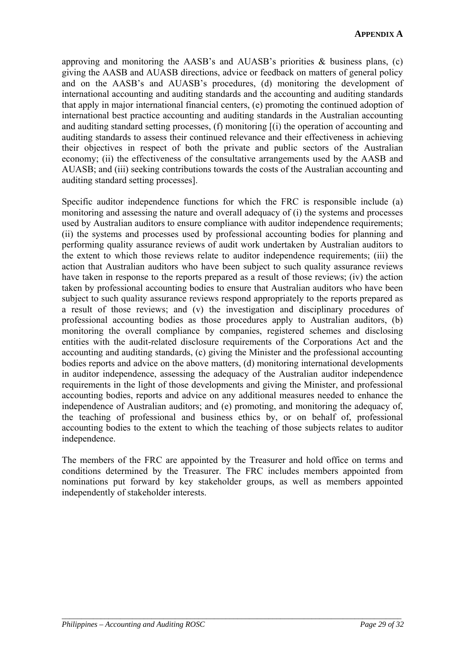approving and monitoring the  $AASB$ 's and  $AUASB$ 's priorities  $\&$  business plans, (c) giving the AASB and AUASB directions, advice or feedback on matters of general policy and on the AASB's and AUASB's procedures, (d) monitoring the development of international accounting and auditing standards and the accounting and auditing standards that apply in major international financial centers, (e) promoting the continued adoption of international best practice accounting and auditing standards in the Australian accounting and auditing standard setting processes, (f) monitoring [(i) the operation of accounting and auditing standards to assess their continued relevance and their effectiveness in achieving their objectives in respect of both the private and public sectors of the Australian economy; (ii) the effectiveness of the consultative arrangements used by the AASB and AUASB; and (iii) seeking contributions towards the costs of the Australian accounting and auditing standard setting processes].

Specific auditor independence functions for which the FRC is responsible include (a) monitoring and assessing the nature and overall adequacy of (i) the systems and processes used by Australian auditors to ensure compliance with auditor independence requirements; (ii) the systems and processes used by professional accounting bodies for planning and performing quality assurance reviews of audit work undertaken by Australian auditors to the extent to which those reviews relate to auditor independence requirements; (iii) the action that Australian auditors who have been subject to such quality assurance reviews have taken in response to the reports prepared as a result of those reviews; (iv) the action taken by professional accounting bodies to ensure that Australian auditors who have been subject to such quality assurance reviews respond appropriately to the reports prepared as a result of those reviews; and (v) the investigation and disciplinary procedures of professional accounting bodies as those procedures apply to Australian auditors, (b) monitoring the overall compliance by companies, registered schemes and disclosing entities with the audit-related disclosure requirements of the Corporations Act and the accounting and auditing standards, (c) giving the Minister and the professional accounting bodies reports and advice on the above matters, (d) monitoring international developments in auditor independence, assessing the adequacy of the Australian auditor independence requirements in the light of those developments and giving the Minister, and professional accounting bodies, reports and advice on any additional measures needed to enhance the independence of Australian auditors; and (e) promoting, and monitoring the adequacy of, the teaching of professional and business ethics by, or on behalf of, professional accounting bodies to the extent to which the teaching of those subjects relates to auditor independence.

The members of the FRC are appointed by the Treasurer and hold office on terms and conditions determined by the Treasurer. The FRC includes members appointed from nominations put forward by key stakeholder groups, as well as members appointed independently of stakeholder interests.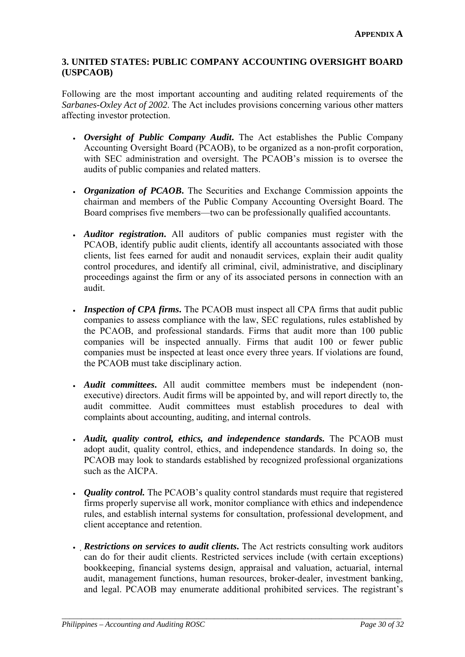### **3. UNITED STATES: PUBLIC COMPANY ACCOUNTING OVERSIGHT BOARD (USPCAOB)**

Following are the most important accounting and auditing related requirements of the *Sarbanes-Oxley Act of 2002*. The Act includes provisions concerning various other matters affecting investor protection.

- *Oversight of Public Company Audit***.** The Act establishes the Public Company Accounting Oversight Board (PCAOB), to be organized as a non-profit corporation, with SEC administration and oversight. The PCAOB's mission is to oversee the audits of public companies and related matters.
- *Organization of PCAOB***.** The Securities and Exchange Commission appoints the chairman and members of the Public Company Accounting Oversight Board. The Board comprises five members—two can be professionally qualified accountants.
- *Auditor registration***.** All auditors of public companies must register with the PCAOB, identify public audit clients, identify all accountants associated with those clients, list fees earned for audit and nonaudit services, explain their audit quality control procedures, and identify all criminal, civil, administrative, and disciplinary proceedings against the firm or any of its associated persons in connection with an audit.
- *Inspection of CPA firms***.** The PCAOB must inspect all CPA firms that audit public companies to assess compliance with the law, SEC regulations, rules established by the PCAOB, and professional standards. Firms that audit more than 100 public companies will be inspected annually. Firms that audit 100 or fewer public companies must be inspected at least once every three years. If violations are found, the PCAOB must take disciplinary action.
- *Audit committees***.** All audit committee members must be independent (nonexecutive) directors. Audit firms will be appointed by, and will report directly to, the audit committee. Audit committees must establish procedures to deal with complaints about accounting, auditing, and internal controls.
- *Audit, quality control, ethics, and independence standards.* The PCAOB must adopt audit, quality control, ethics, and independence standards. In doing so, the PCAOB may look to standards established by recognized professional organizations such as the AICPA.
- *Quality control*. The PCAOB's quality control standards must require that registered firms properly supervise all work, monitor compliance with ethics and independence rules, and establish internal systems for consultation, professional development, and client acceptance and retention.
- *Restrictions on services to audit clients***.** The Act restricts consulting work auditors can do for their audit clients. Restricted services include (with certain exceptions) bookkeeping, financial systems design, appraisal and valuation, actuarial, internal audit, management functions, human resources, broker-dealer, investment banking, and legal. PCAOB may enumerate additional prohibited services. The registrant's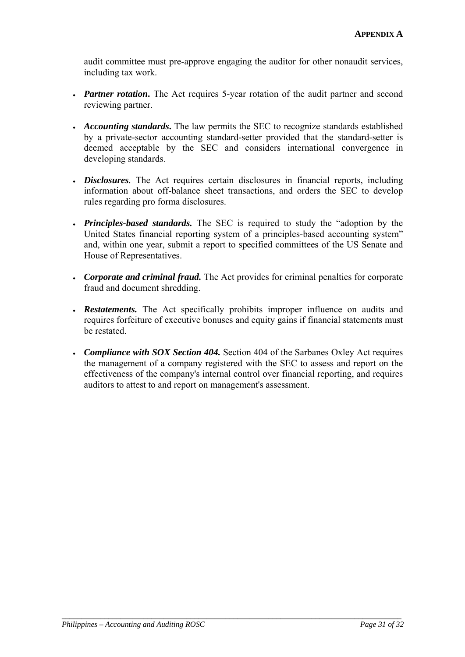audit committee must pre-approve engaging the auditor for other nonaudit services, including tax work.

- *Partner rotation*. The Act requires 5-year rotation of the audit partner and second reviewing partner.
- *Accounting standards***.** The law permits the SEC to recognize standards established by a private-sector accounting standard-setter provided that the standard-setter is deemed acceptable by the SEC and considers international convergence in developing standards.
- *Disclosures.* The Act requires certain disclosures in financial reports, including information about off-balance sheet transactions, and orders the SEC to develop rules regarding pro forma disclosures.
- *Principles-based standards.* The SEC is required to study the "adoption by the United States financial reporting system of a principles-based accounting system" and, within one year, submit a report to specified committees of the US Senate and House of Representatives.
- *Corporate and criminal fraud.* The Act provides for criminal penalties for corporate fraud and document shredding.
- *Restatements.* The Act specifically prohibits improper influence on audits and requires forfeiture of executive bonuses and equity gains if financial statements must be restated.
- *Compliance with SOX Section 404.* Section 404 of the Sarbanes Oxley Act requires the management of a company registered with the SEC to assess and report on the effectiveness of the company's internal control over financial reporting, and requires auditors to attest to and report on management's assessment.